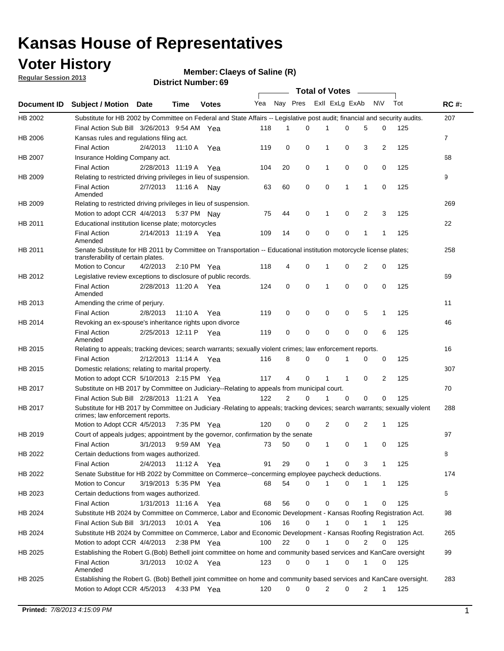## **Voter History**

**Member: Claeys of Saline (R)** 

**Regular Session 2013**

|                    |                                                                                                                                                                |                       | 3ט ויטעווווער ויטו ווסו <b>ש</b> |              |              |    | Total of Votes – |              |                |                |                |     |                |
|--------------------|----------------------------------------------------------------------------------------------------------------------------------------------------------------|-----------------------|----------------------------------|--------------|--------------|----|------------------|--------------|----------------|----------------|----------------|-----|----------------|
| <b>Document ID</b> | <b>Subject / Motion Date</b>                                                                                                                                   |                       | Time                             | <b>Votes</b> | Yea Nay Pres |    |                  |              | Exll ExLg ExAb |                | <b>NV</b>      | Tot | <b>RC#:</b>    |
| HB 2002            | Substitute for HB 2002 by Committee on Federal and State Affairs -- Legislative post audit; financial and security audits.                                     |                       |                                  |              |              |    |                  |              |                |                |                |     | 207            |
|                    | Final Action Sub Bill 3/26/2013 9:54 AM Yea                                                                                                                    |                       |                                  |              | 118          | 1  | $\Omega$         |              | 0              | 5              | 0              | 125 |                |
| HB 2006            | Kansas rules and regulations filing act.                                                                                                                       |                       |                                  |              |              |    |                  |              |                |                |                |     | $\overline{7}$ |
|                    | <b>Final Action</b>                                                                                                                                            | 2/4/2013              | 11:10 A Yea                      |              | 119          | 0  | 0                | 1            | 0              | 3              | $\overline{2}$ | 125 |                |
| HB 2007            | Insurance Holding Company act.                                                                                                                                 |                       |                                  |              |              |    |                  |              |                |                |                |     | 68             |
|                    | <b>Final Action</b>                                                                                                                                            | 2/28/2013 11:19 A     |                                  | Yea          | 104          | 20 | 0                | 1            | 0              | 0              | 0              | 125 |                |
| HB 2009            | Relating to restricted driving privileges in lieu of suspension.                                                                                               |                       |                                  |              |              |    |                  |              |                |                |                |     | 9              |
|                    | <b>Final Action</b><br>Amended                                                                                                                                 | 2/7/2013              | 11:16 A Nay                      |              | 63           | 60 | 0                | 0            | 1              | 1              | 0              | 125 |                |
| HB 2009            | Relating to restricted driving privileges in lieu of suspension.                                                                                               |                       |                                  |              |              |    |                  |              |                |                |                |     | 269            |
|                    | Motion to adopt CCR 4/4/2013                                                                                                                                   |                       | 5:37 PM Nay                      |              | 75           | 44 | 0                | 1            | 0              | 2              | 3              | 125 |                |
| HB 2011            | Educational institution license plate; motorcycles                                                                                                             |                       |                                  |              |              |    |                  |              |                |                |                |     | 22             |
|                    | <b>Final Action</b><br>Amended                                                                                                                                 | 2/14/2013 11:19 A Yea |                                  |              | 109          | 14 | 0                | 0            | 0              | 1              | 1              | 125 |                |
| HB 2011            | Senate Substitute for HB 2011 by Committee on Transportation -- Educational institution motorcycle license plates;                                             |                       |                                  |              |              |    |                  |              |                |                |                |     | 258            |
|                    | transferability of certain plates.                                                                                                                             |                       |                                  |              |              |    |                  |              |                |                |                |     |                |
|                    | Motion to Concur                                                                                                                                               | 4/2/2013              | $2:10 \text{ PM}$ Yea            |              | 118          | 4  | 0                | $\mathbf 1$  | 0              | $\overline{2}$ | 0              | 125 |                |
| HB 2012            | Legislative review exceptions to disclosure of public records.                                                                                                 |                       |                                  |              |              |    |                  |              |                |                |                |     | 69             |
|                    | <b>Final Action</b><br>Amended                                                                                                                                 | 2/28/2013 11:20 A Yea |                                  |              | 124          | 0  | 0                | 1            | 0              | 0              | 0              | 125 |                |
| HB 2013            | Amending the crime of perjury.                                                                                                                                 |                       |                                  |              |              |    |                  |              |                |                |                |     | 11             |
|                    | <b>Final Action</b>                                                                                                                                            | 2/8/2013              | 11:10 A                          | Yea          | 119          | 0  | 0                | 0            | 0              | 5              | 1              | 125 |                |
| HB 2014            | Revoking an ex-spouse's inheritance rights upon divorce                                                                                                        |                       |                                  |              |              |    |                  |              |                |                |                |     | 46             |
|                    | <b>Final Action</b><br>Amended                                                                                                                                 | 2/25/2013 12:11 P     |                                  | Yea          | 119          | 0  | $\mathbf 0$      | 0            | 0              | 0              | 6              | 125 |                |
| HB 2015            | Relating to appeals; tracking devices; search warrants; sexually violent crimes; law enforcement reports.                                                      |                       |                                  |              |              |    |                  |              |                |                |                |     | 16             |
|                    | <b>Final Action</b>                                                                                                                                            | 2/12/2013 11:14 A     |                                  | Yea          | 116          | 8  | 0                | 0            | 1              | 0              | 0              | 125 |                |
| HB 2015            | Domestic relations; relating to marital property.                                                                                                              |                       |                                  |              |              |    |                  |              |                |                |                |     | 307            |
|                    | Motion to adopt CCR 5/10/2013 2:15 PM Yea                                                                                                                      |                       |                                  |              | 117          | 4  | 0                | $\mathbf{1}$ | $\mathbf{1}$   | 0              | 2              | 125 |                |
| HB 2017            | Substitute on HB 2017 by Committee on Judiciary--Relating to appeals from municipal court.                                                                     |                       |                                  |              |              |    |                  |              |                |                |                |     | 70             |
|                    | Final Action Sub Bill 2/28/2013 11:21 A Yea                                                                                                                    |                       |                                  |              | 122          | 2  | 0                | 1            | 0              | 0              | 0              | 125 |                |
| HB 2017            | Substitute for HB 2017 by Committee on Judiciary -Relating to appeals; tracking devices; search warrants; sexually violent<br>crimes; law enforcement reports. |                       |                                  |              |              |    |                  |              |                |                |                |     | 288            |
|                    | Motion to Adopt CCR 4/5/2013                                                                                                                                   |                       | 7:35 PM Yea                      |              | 120          | 0  | 0                | 2            | 0              | 2              | 1              | 125 |                |
| HB 2019            | Court of appeals judges; appointment by the governor, confirmation by the senate                                                                               |                       |                                  |              |              |    |                  |              |                |                |                |     | 97             |
|                    | Final Action                                                                                                                                                   | 3/1/2013              | 9:59 AM Yea                      |              | 73           | 50 | 0                | 1            | 0              | 1              | 0              | 125 |                |
| HB 2022            | Certain deductions from wages authorized.                                                                                                                      |                       |                                  |              |              |    |                  |              |                |                |                |     | 8              |
|                    | <b>Final Action</b>                                                                                                                                            | 2/4/2013              | 11:12 A                          | Yea          | 91           | 29 | 0                |              | 0              | 3              | 1              | 125 |                |
| HB 2022            | Senate Substitue for HB 2022 by Committee on Commerce--concerming employee paycheck deductions.                                                                |                       |                                  |              |              |    |                  |              |                |                |                |     | 174            |
|                    | Motion to Concur                                                                                                                                               | 3/19/2013 5:35 PM Yea |                                  |              | 68           | 54 | 0                | 1            | 0              | 1              | $\mathbf{1}$   | 125 |                |
| HB 2023            | Certain deductions from wages authorized.                                                                                                                      |                       |                                  |              |              |    |                  |              |                |                |                |     | 6              |
|                    | Final Action                                                                                                                                                   | 1/31/2013 11:16 A     |                                  | Yea          | 68           | 56 | 0                | 0            | 0              | 1              | 0              | 125 |                |
| HB 2024            | Substitute HB 2024 by Committee on Commerce, Labor and Economic Development - Kansas Roofing Registration Act.                                                 |                       |                                  |              |              |    |                  |              |                |                |                |     | 98             |
|                    |                                                                                                                                                                |                       |                                  |              |              |    |                  | 1            |                |                |                |     |                |
|                    | Final Action Sub Bill 3/1/2013                                                                                                                                 |                       | 10:01 A Yea                      |              | 106          | 16 | 0                |              | 0              | 1              | 1              | 125 |                |
| HB 2024            | Substitute HB 2024 by Committee on Commerce, Labor and Economic Development - Kansas Roofing Registration Act.                                                 |                       |                                  |              |              |    |                  |              |                |                |                |     | 265            |
|                    | Motion to adopt CCR 4/4/2013                                                                                                                                   |                       | 2:38 PM Yea                      |              | 100          | 22 | 0                | 1            | 0              | 2              | 0              | 125 |                |
| HB 2025            | Establishing the Robert G.(Bob) Bethell joint committee on home and community based services and KanCare oversight                                             |                       |                                  |              |              |    |                  |              |                |                |                |     | 99             |
|                    | <b>Final Action</b><br>Amended                                                                                                                                 | 3/1/2013              | 10:02 A Yea                      |              | 123          | 0  | 0                | $\mathbf{1}$ | 0              | 1              | 0              | 125 |                |
| HB 2025            | Establishing the Robert G. (Bob) Bethell joint committee on home and community based services and KanCare oversight.                                           |                       |                                  |              |              |    |                  |              |                |                |                |     | 283            |
|                    | Motion to Adopt CCR 4/5/2013                                                                                                                                   |                       | 4:33 PM Yea                      |              | 120          | 0  | 0                | 2            | 0              | $\overline{2}$ | $\mathbf{1}$   | 125 |                |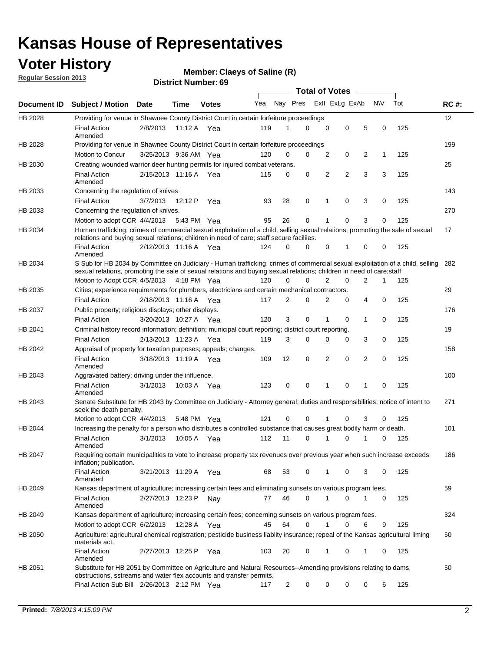## **Voter History**

**Member: Claeys of Saline (R)** 

**Regular Session 2013**

|                    |                                                                                                                                                                                                                                                       |                       |         |              |     |                         | <b>Total of Votes</b> |                |   |                |           |     |             |
|--------------------|-------------------------------------------------------------------------------------------------------------------------------------------------------------------------------------------------------------------------------------------------------|-----------------------|---------|--------------|-----|-------------------------|-----------------------|----------------|---|----------------|-----------|-----|-------------|
| <b>Document ID</b> | <b>Subject / Motion Date</b>                                                                                                                                                                                                                          |                       | Time    | <b>Votes</b> | Yea | Nay Pres Exll ExLg ExAb |                       |                |   |                | <b>NV</b> | Tot | <b>RC#:</b> |
| HB 2028            | Providing for venue in Shawnee County District Court in certain forfeiture proceedings                                                                                                                                                                |                       |         |              |     |                         |                       |                |   |                |           |     | 12          |
|                    | <b>Final Action</b><br>Amended                                                                                                                                                                                                                        | 2/8/2013              | 11:12 A | Yea          | 119 | 1                       | 0                     | 0              | 0 | 5              | 0         | 125 |             |
| HB 2028            | Providing for venue in Shawnee County District Court in certain forfeiture proceedings                                                                                                                                                                |                       |         |              |     |                         |                       |                |   |                |           |     | 199         |
|                    | Motion to Concur                                                                                                                                                                                                                                      | 3/25/2013 9:36 AM Yea |         |              | 120 | 0                       | 0                     | 2              | 0 | 2              | 1         | 125 |             |
| HB 2030            | Creating wounded warrior deer hunting permits for injured combat veterans.                                                                                                                                                                            |                       |         |              |     |                         |                       |                |   |                |           |     | 25          |
|                    | <b>Final Action</b><br>Amended                                                                                                                                                                                                                        | 2/15/2013 11:16 A Yea |         |              | 115 | 0                       | 0                     | 2              | 2 | 3              | 3         | 125 |             |
| HB 2033            | Concerning the regulation of knives                                                                                                                                                                                                                   |                       |         |              |     |                         |                       |                |   |                |           |     | 143         |
|                    | <b>Final Action</b>                                                                                                                                                                                                                                   | 3/7/2013              | 12:12 P | Yea          | 93  | 28                      | 0                     | 1              | 0 | 3              | 0         | 125 |             |
| HB 2033            | Concerning the regulation of knives.                                                                                                                                                                                                                  |                       |         |              |     |                         |                       |                |   |                |           |     | 270         |
|                    | Motion to adopt CCR 4/4/2013                                                                                                                                                                                                                          |                       |         | 5:43 PM Yea  | 95  | 26                      | 0                     |                | 0 | 3              | 0         | 125 |             |
| HB 2034            | Human trafficking; crimes of commercial sexual exploitation of a child, selling sexual relations, promoting the sale of sexual<br>relations and buying sexual relations; children in need of care; staff secure faciliies.                            |                       |         |              |     |                         |                       |                |   |                |           |     | 17          |
|                    | <b>Final Action</b><br>Amended                                                                                                                                                                                                                        | 2/12/2013 11:16 A Yea |         |              | 124 | 0                       | 0                     | 0              | 1 | 0              | 0         | 125 |             |
| HB 2034            | S Sub for HB 2034 by Committee on Judiciary - Human trafficking; crimes of commercial sexual exploitation of a child, selling<br>sexual relations, promoting the sale of sexual relations and buying sexual relations; children in need of care;staff |                       |         |              |     |                         |                       |                |   |                |           |     | 282         |
|                    | Motion to Adopt CCR 4/5/2013 4:18 PM Yea                                                                                                                                                                                                              |                       |         |              | 120 | 0                       | 0                     | $\overline{2}$ | 0 | $\overline{2}$ | 1         | 125 |             |
| HB 2035            | Cities; experience requirements for plumbers, electricians and certain mechanical contractors.                                                                                                                                                        |                       |         |              |     |                         |                       |                |   |                |           |     | 29          |
|                    | <b>Final Action</b>                                                                                                                                                                                                                                   | 2/18/2013 11:16 A     |         | Yea          | 117 | 2                       | 0                     | 2              | 0 | 4              | 0         | 125 |             |
| HB 2037            | Public property; religious displays; other displays.                                                                                                                                                                                                  |                       |         |              |     |                         |                       |                |   |                |           |     | 176         |
|                    | <b>Final Action</b>                                                                                                                                                                                                                                   | 3/20/2013 10:27 A     |         | Yea          | 120 | 3                       | 0                     |                | 0 | 1              | 0         | 125 |             |
| HB 2041            | Criminal history record information; definition; municipal court reporting; district court reporting.                                                                                                                                                 |                       |         |              |     |                         |                       |                |   |                |           |     | 19          |
|                    | <b>Final Action</b>                                                                                                                                                                                                                                   | 2/13/2013 11:23 A     |         | Yea          | 119 | 3                       | 0                     | $\Omega$       | 0 | 3              | 0         | 125 |             |
| HB 2042            | Appraisal of property for taxation purposes; appeals; changes.                                                                                                                                                                                        |                       |         |              |     |                         |                       |                |   |                |           |     | 158         |
|                    | <b>Final Action</b><br>Amended                                                                                                                                                                                                                        | 3/18/2013 11:19 A Yea |         |              | 109 | 12                      | 0                     | 2              | 0 | 2              | 0         | 125 |             |
| HB 2043            | Aggravated battery; driving under the influence.                                                                                                                                                                                                      |                       |         |              |     |                         |                       |                |   |                |           |     | 100         |
|                    | <b>Final Action</b><br>Amended                                                                                                                                                                                                                        | 3/1/2013              |         | 10:03 A Yea  | 123 | 0                       | 0                     | 1              | 0 | 1              | 0         | 125 |             |
| HB 2043            | Senate Substitute for HB 2043 by Committee on Judiciary - Attorney general; duties and responsibilities; notice of intent to<br>seek the death penalty.                                                                                               |                       |         |              |     |                         |                       |                |   |                |           |     | 271         |
|                    | Motion to adopt CCR 4/4/2013                                                                                                                                                                                                                          |                       |         | 5:48 PM Yea  | 121 | 0                       | 0                     | 1              | 0 | 3              | 0         | 125 |             |
| HB 2044            | Increasing the penalty for a person who distributes a controlled substance that causes great bodily harm or death.                                                                                                                                    |                       |         |              |     |                         |                       |                |   |                |           |     | 101         |
|                    | <b>Final Action</b><br>Amended                                                                                                                                                                                                                        | 3/1/2013              | 10:05 A | Yea          | 112 | 11                      | 0                     | 1              | 0 | 1              | 0         | 125 |             |
| HB 2047            | Requiring certain municipalities to vote to increase property tax revenues over previous year when such increase exceeds<br>inflation; publication.                                                                                                   |                       |         |              |     |                         |                       |                |   |                |           |     | 186         |
|                    | <b>Final Action</b><br>Amended                                                                                                                                                                                                                        | 3/21/2013 11:29 A Yea |         |              | 68  | 53                      | 0                     | 1              | 0 | 3              | 0         | 125 |             |
| HB 2049            | Kansas department of agriculture; increasing certain fees and eliminating sunsets on various program fees.                                                                                                                                            |                       |         |              |     |                         |                       |                |   |                |           |     | 59          |
|                    | <b>Final Action</b><br>Amended                                                                                                                                                                                                                        | 2/27/2013 12:23 P     |         | Nay          | 77  | 46                      | 0                     | 1              | 0 |                | 0         | 125 |             |
| HB 2049            | Kansas department of agriculture; increasing certain fees; concerning sunsets on various program fees.                                                                                                                                                |                       |         |              |     |                         |                       |                |   |                |           |     | 324         |
|                    | Motion to adopt CCR 6/2/2013                                                                                                                                                                                                                          |                       | 12:28 A | Yea          | 45  | 64                      | 0                     | 1              | 0 | 6              | 9         | 125 |             |
| HB 2050            | Agriculture; agricultural chemical registration; pesticide business liablity insurance; repeal of the Kansas agricultural liming<br>materials act.                                                                                                    |                       |         |              |     |                         |                       |                |   |                |           |     | 60          |
|                    | <b>Final Action</b><br>Amended                                                                                                                                                                                                                        | 2/27/2013 12:25 P     |         | Yea          | 103 | 20                      | 0                     |                | 0 | 1              | 0         | 125 |             |
| HB 2051            | Substitute for HB 2051 by Committee on Agriculture and Natural Resources--Amending provisions relating to dams,<br>obstructions, sstreams and water flex accounts and transfer permits.                                                               |                       |         |              |     |                         |                       |                |   |                |           |     | 50          |
|                    | Final Action Sub Bill 2/26/2013 2:12 PM Yea                                                                                                                                                                                                           |                       |         |              | 117 | $\overline{c}$          | 0                     | 0              | 0 | 0              | 6         | 125 |             |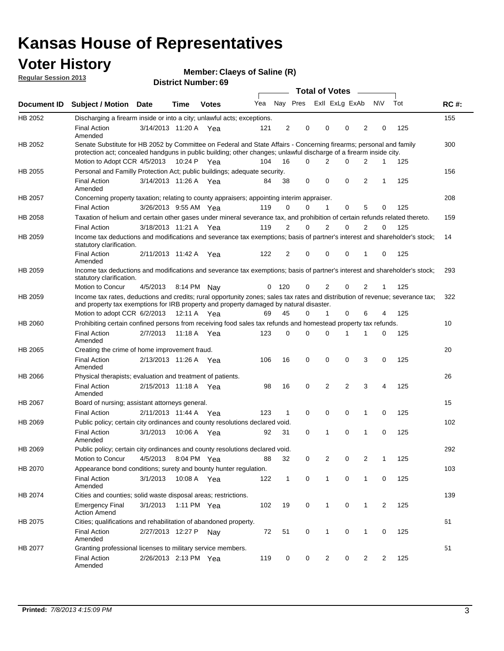## **Voter History**

**Member: Claeys of Saline (R)** 

**Regular Session 2013**

|                    |                                                                                                                                                                                                                                          |                       |             |              |     |              |                         | <b>Total of Votes</b> |                |             | $\sim$         |                |     |             |
|--------------------|------------------------------------------------------------------------------------------------------------------------------------------------------------------------------------------------------------------------------------------|-----------------------|-------------|--------------|-----|--------------|-------------------------|-----------------------|----------------|-------------|----------------|----------------|-----|-------------|
| Document <b>ID</b> | <b>Subject / Motion Date</b>                                                                                                                                                                                                             |                       | Time        | <b>Votes</b> | Yea |              | Nay Pres ExII ExLg ExAb |                       |                |             |                | N\V            | Tot | <b>RC#:</b> |
| HB 2052            | Discharging a firearm inside or into a city; unlawful acts; exceptions.                                                                                                                                                                  |                       |             |              |     |              |                         |                       |                |             |                |                |     | 155         |
|                    | <b>Final Action</b><br>Amended                                                                                                                                                                                                           | 3/14/2013 11:20 A Yea |             |              | 121 | 2            | 0                       |                       | 0              | 0           | 2              | 0              | 125 |             |
| HB 2052            | Senate Substitute for HB 2052 by Committee on Federal and State Affairs - Concerning firearms; personal and family<br>protection act; concealed handguns in public building; other changes; unlawful discharge of a firearm inside city. |                       |             |              |     |              |                         |                       |                |             |                |                |     | 300         |
|                    | Motion to Adopt CCR 4/5/2013 10:24 P Yea                                                                                                                                                                                                 |                       |             |              | 104 | 16           | $\Omega$                |                       | 2              | 0           | $\overline{2}$ | $\mathbf{1}$   | 125 |             |
| HB 2055            | Personal and Familly Protection Act; public buildings; adequate security.                                                                                                                                                                |                       |             |              |     |              |                         |                       |                |             |                |                |     | 156         |
|                    | <b>Final Action</b><br>Amended                                                                                                                                                                                                           | 3/14/2013 11:26 A Yea |             |              | 84  | 38           | 0                       |                       | 0              | $\mathbf 0$ | $\overline{2}$ | 1              | 125 |             |
| HB 2057            | Concerning property taxation; relating to county appraisers; appointing interim appraiser.                                                                                                                                               |                       |             |              |     |              |                         |                       |                |             |                |                |     | 208         |
|                    | <b>Final Action</b>                                                                                                                                                                                                                      | 3/26/2013 9:55 AM Yea |             |              | 119 | 0            | 0                       |                       | 1              | $\mathbf 0$ | 5              | 0              | 125 |             |
| HB 2058            | Taxation of helium and certain other gases under mineral severance tax, and prohibition of certain refunds related thereto.                                                                                                              |                       |             |              |     |              |                         |                       |                |             |                |                |     | 159         |
|                    | <b>Final Action</b>                                                                                                                                                                                                                      | 3/18/2013 11:21 A Yea |             |              | 119 | 2            | $\Omega$                |                       | $\overline{2}$ | $\Omega$    | $\overline{2}$ | $\Omega$       | 125 |             |
| HB 2059            | Income tax deductions and modifications and severance tax exemptions; basis of partner's interest and shareholder's stock;<br>statutory clarification.                                                                                   |                       |             |              |     |              |                         |                       |                |             |                |                |     | 14          |
|                    | <b>Final Action</b><br>Amended                                                                                                                                                                                                           | 2/11/2013 11:42 A Yea |             |              | 122 | 2            | 0                       |                       | 0              | 0           | 1              | 0              | 125 |             |
| HB 2059            | Income tax deductions and modifications and severance tax exemptions; basis of partner's interest and shareholder's stock;<br>statutory clarification.                                                                                   |                       |             |              |     |              |                         |                       |                |             |                |                |     | 293         |
|                    | Motion to Concur                                                                                                                                                                                                                         | 4/5/2013              | 8:14 PM Nav |              | 0   | 120          | 0                       |                       | 2              | 0           | 2              | 1              | 125 |             |
| HB 2059            | Income tax rates, deductions and credits; rural opportunity zones; sales tax rates and distribution of revenue; severance tax;<br>and property tax exemptions for IRB property and property damaged by natural disaster.                 |                       |             |              |     |              |                         |                       |                |             |                |                |     | 322         |
|                    | Motion to adopt CCR 6/2/2013                                                                                                                                                                                                             |                       | 12:11 A Yea |              | 69  | 45           | 0                       |                       | $\mathbf{1}$   | 0           | 6              | 4              | 125 |             |
| <b>HB 2060</b>     | Prohibiting certain confined persons from receiving food sales tax refunds and homestead property tax refunds.                                                                                                                           |                       |             |              |     |              |                         |                       |                |             |                |                |     | 10          |
|                    | <b>Final Action</b><br>Amended                                                                                                                                                                                                           | 2/7/2013              |             | 11:18 A Yea  | 123 | 0            | $\Omega$                |                       | 0              | 1           | 1              | $\Omega$       | 125 |             |
| HB 2065            | Creating the crime of home improvement fraud.                                                                                                                                                                                            |                       |             |              |     |              |                         |                       |                |             |                |                |     | 20          |
|                    | <b>Final Action</b><br>Amended                                                                                                                                                                                                           | 2/13/2013 11:26 A Yea |             |              | 106 | 16           | 0                       |                       | 0              | 0           | 3              | 0              | 125 |             |
| <b>HB 2066</b>     | Physical therapists; evaluation and treatment of patients.                                                                                                                                                                               |                       |             |              |     |              |                         |                       |                |             |                |                |     | 26          |
|                    | <b>Final Action</b><br>Amended                                                                                                                                                                                                           | 2/15/2013 11:18 A Yea |             |              | 98  | 16           | $\mathbf 0$             |                       | $\overline{2}$ | 2           | 3              | 4              | 125 |             |
| HB 2067            | Board of nursing; assistant attorneys general.                                                                                                                                                                                           |                       |             |              |     |              |                         |                       |                |             |                |                |     | 15          |
|                    | <b>Final Action</b>                                                                                                                                                                                                                      | 2/11/2013 11:44 A Yea |             |              | 123 | 1            | 0                       |                       | 0              | 0           | 1              | 0              | 125 |             |
| HB 2069            | Public policy; certain city ordinances and county resolutions declared void.                                                                                                                                                             |                       |             |              |     |              |                         |                       |                |             |                |                |     | 102         |
|                    | <b>Final Action</b><br>Amended                                                                                                                                                                                                           | 3/1/2013              |             | 10:06 A Yea  | 92  | 31           | $\mathbf 0$             |                       | 1              | 0           | 1              | 0              | 125 |             |
| HB 2069            | Public policy; certain city ordinances and county resolutions declared void.                                                                                                                                                             |                       |             |              |     |              |                         |                       |                |             |                |                |     | 292         |
|                    | Motion to Concur                                                                                                                                                                                                                         | 4/5/2013 8:04 PM Yea  |             |              | 88  | 32           | 0                       |                       | 2              | 0           | 2              | 1              | 125 |             |
| HB 2070            | Appearance bond conditions; surety and bounty hunter regulation.                                                                                                                                                                         |                       |             |              |     |              |                         |                       |                |             |                |                |     | 103         |
|                    | <b>Final Action</b><br>Amended                                                                                                                                                                                                           | 3/1/2013              |             | 10:08 A Yea  | 122 | $\mathbf{1}$ | 0                       |                       | $\mathbf{1}$   | 0           | $\mathbf{1}$   | 0              | 125 |             |
| HB 2074            | Cities and counties; solid waste disposal areas; restrictions.                                                                                                                                                                           |                       |             |              |     |              |                         |                       |                |             |                |                |     | 139         |
|                    | <b>Emergency Final</b><br><b>Action Amend</b>                                                                                                                                                                                            | 3/1/2013              |             | 1:11 PM Yea  | 102 | 19           | 0                       |                       | 1              | 0           | 1              | $\overline{2}$ | 125 |             |
| HB 2075            | Cities; qualifications and rehabilitation of abandoned property.                                                                                                                                                                         |                       |             |              |     |              |                         |                       |                |             |                |                |     | 61          |
|                    | <b>Final Action</b><br>Amended                                                                                                                                                                                                           | 2/27/2013 12:27 P     |             | Nav          | 72  | 51           | 0                       |                       | 1              | 0           | 1              | 0              | 125 |             |
| HB 2077            | Granting professional licenses to military service members.<br>Final Action<br>Amended                                                                                                                                                   | 2/26/2013 2:13 PM Yea |             |              | 119 | 0            | 0                       |                       | $\overline{2}$ | 0           | $\overline{2}$ | 2              | 125 | 51          |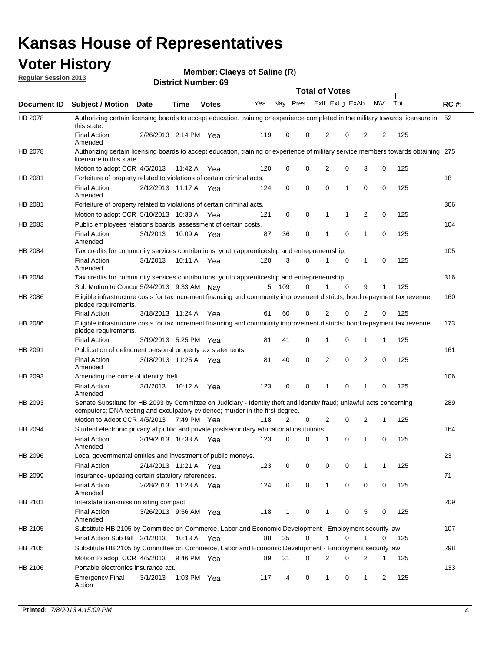## **Voter History**

**Member: Claeys of Saline (R)** 

**Regular Session 2013**

|                |                                                                                                                                                                                                       |                       |         |              |     |     | <b>Total of Votes</b> |                |                         | $\sim$         |           |     |             |
|----------------|-------------------------------------------------------------------------------------------------------------------------------------------------------------------------------------------------------|-----------------------|---------|--------------|-----|-----|-----------------------|----------------|-------------------------|----------------|-----------|-----|-------------|
| Document ID    | <b>Subject / Motion Date</b>                                                                                                                                                                          |                       | Time    | <b>Votes</b> | Yea |     |                       |                | Nay Pres Exll ExLg ExAb |                | <b>NV</b> | Tot | <b>RC#:</b> |
| <b>HB 2078</b> | Authorizing certain licensing boards to accept education, training or experience completed in the military towards licensure in<br>this state.                                                        |                       |         |              |     |     |                       |                |                         |                |           |     | 52          |
|                | <b>Final Action</b><br>Amended                                                                                                                                                                        | 2/26/2013 2:14 PM Yea |         |              | 119 | 0   | 0                     | 2              | 0                       | 2              | 2         | 125 |             |
| HB 2078        | Authorizing certain licensing boards to accept education, training or experience of military service members towards obtaining 275<br>licensure in this state.                                        |                       |         |              |     |     |                       |                |                         |                |           |     |             |
|                | Motion to adopt CCR 4/5/2013                                                                                                                                                                          |                       | 11:42 A | Yea          | 120 | 0   | 0                     | 2              | 0                       | 3              | 0         | 125 |             |
| HB 2081        | Forfeiture of property related to violations of certain criminal acts.                                                                                                                                |                       |         |              |     |     |                       |                |                         |                |           |     | 18          |
|                | <b>Final Action</b><br>Amended                                                                                                                                                                        | 2/12/2013 11:17 A     |         | Yea          | 124 | 0   | $\mathbf 0$           | 0              | 1                       | 0              | 0         | 125 |             |
| HB 2081        | Forfeiture of property related to violations of certain criminal acts.                                                                                                                                |                       |         |              |     |     |                       |                |                         |                |           |     | 306         |
|                | Motion to adopt CCR 5/10/2013 10:38 A                                                                                                                                                                 |                       |         | Yea          | 121 | 0   | 0                     | 1              | 1                       | 2              | 0         | 125 |             |
| HB 2083        | Public employees relations boards; assessment of certain costs.                                                                                                                                       |                       |         |              |     |     |                       |                |                         |                |           |     | 104         |
|                | <b>Final Action</b><br>Amended                                                                                                                                                                        | 3/1/2013              | 10:09 A | Yea          | 87  | 36  | 0                     | 1              | 0                       | 1              | 0         | 125 |             |
| HB 2084        | Tax credits for community services contributions; youth apprenticeship and entrepreneurship.                                                                                                          |                       |         |              |     |     |                       |                |                         |                |           |     | 105         |
|                | <b>Final Action</b><br>Amended                                                                                                                                                                        | 3/1/2013              |         | 10:11 A Yea  | 120 | 3   | $\Omega$              |                | 0                       | 1              | 0         | 125 |             |
| HB 2084        | Tax credits for community services contributions; youth apprenticeship and entrepreneurship.                                                                                                          |                       |         |              |     |     |                       |                |                         |                |           |     | 316         |
|                | Sub Motion to Concur 5/24/2013 9:33 AM Nay                                                                                                                                                            |                       |         |              | 5   | 109 | $\Omega$              | 1              | $\Omega$                | 9              | 1         | 125 |             |
| HB 2086        | Eligible infrastructure costs for tax increment financing and community improvement districts; bond repayment tax revenue<br>pledge requirements.                                                     |                       |         |              |     |     |                       |                |                         |                |           |     | 160         |
|                | <b>Final Action</b>                                                                                                                                                                                   | 3/18/2013 11:24 A     |         | Yea          | 61  | 60  | 0                     | 2              | 0                       | 2              | 0         | 125 |             |
| HB 2086        | Eligible infrastructure costs for tax increment financing and community improvement districts; bond repayment tax revenue<br>pledge requirements.                                                     |                       |         |              |     |     |                       |                |                         |                |           |     | 173         |
|                | <b>Final Action</b>                                                                                                                                                                                   | 3/19/2013 5:25 PM     |         | Yea          | 81  | 41  | 0                     | 1              | 0                       | 1              | 1         | 125 |             |
| HB 2091        | Publication of delinguent personal property tax statements.                                                                                                                                           |                       |         |              |     |     |                       |                |                         |                |           |     | 161         |
|                | <b>Final Action</b><br>Amended                                                                                                                                                                        | 3/18/2013 11:25 A     |         | Yea          | 81  | 40  | 0                     | 2              | 0                       | 2              | 0         | 125 |             |
| HB 2093        | Amending the crime of identity theft.                                                                                                                                                                 |                       |         |              |     |     |                       |                |                         |                |           |     | 106         |
|                | <b>Final Action</b><br>Amended                                                                                                                                                                        | 3/1/2013              | 10:12 A | Yea          | 123 | 0   | 0                     | 1              | 0                       | 1              | 0         | 125 |             |
| HB 2093        | Senate Substitute for HB 2093 by Committee on Judiciary - Identity theft and identity fraud; unlawful acts concerning<br>computers; DNA testing and exculpatory evidence; murder in the first degree. |                       |         |              |     |     |                       |                |                         |                |           |     | 289         |
|                | Motion to Adopt CCR 4/5/2013 7:49 PM Yea                                                                                                                                                              |                       |         |              | 118 | 2   | 0                     | 2              | 0                       | 2              | 1         | 125 |             |
| HB 2094        | Student electronic privacy at public and private postsecondary educational institutions.                                                                                                              |                       |         |              |     |     |                       |                |                         |                |           |     | 164         |
|                | <b>Final Action</b><br>Amended                                                                                                                                                                        | 3/19/2013 10:33 A     |         | Yea          | 123 | 0   | 0                     |                | 0                       | 1              | 0         | 125 |             |
| HB 2096        | Local governmental entities and investment of public moneys.                                                                                                                                          |                       |         |              |     |     |                       |                |                         |                |           |     | 23          |
|                | <b>Final Action</b>                                                                                                                                                                                   | 2/14/2013 11:21 A     |         | Yea          | 123 | 0   | 0                     | 0              | 0                       | 1              | 1         | 125 |             |
| HB 2099        | Insurance- updating certain statutory references.                                                                                                                                                     |                       |         |              |     |     |                       |                |                         |                |           |     | 71          |
|                | <b>Final Action</b><br>Amended                                                                                                                                                                        | 2/28/2013 11:23 A Yea |         |              | 124 | 0   | 0                     | $\mathbf{1}$   | 0                       | 0              | 0         | 125 |             |
| HB 2101        | Interstate transmission siting compact.                                                                                                                                                               |                       |         |              |     |     |                       |                |                         |                |           |     | 209         |
|                | <b>Final Action</b><br>Amended                                                                                                                                                                        | 3/26/2013 9:56 AM Yea |         |              | 118 | 1   | 0                     | 1              | 0                       | 5              | 0         | 125 |             |
| HB 2105        | Substitute HB 2105 by Committee on Commerce, Labor and Economic Development - Employment security law.                                                                                                |                       |         |              |     |     |                       |                |                         |                |           |     | 107         |
|                | Final Action Sub Bill 3/1/2013                                                                                                                                                                        |                       |         | 10:13 A Yea  | 88  | 35  | 0                     | 1              | 0                       | 1              | 0         | 125 |             |
| HB 2105        | Substitute HB 2105 by Committee on Commerce, Labor and Economic Development - Employment security law.                                                                                                |                       |         |              |     |     |                       |                |                         |                |           |     | 298         |
|                | Motion to adopt CCR 4/5/2013                                                                                                                                                                          |                       |         | 9:46 PM Yea  | 89  | 31  | 0                     | $\overline{2}$ | 0                       | $\overline{2}$ | 1         | 125 |             |
| HB 2106        | Portable electronics insurance act.                                                                                                                                                                   |                       |         |              |     |     |                       |                |                         |                |           |     | 133         |
|                | <b>Emergency Final</b><br>Action                                                                                                                                                                      | 3/1/2013              |         | 1:03 PM Yea  | 117 | 4   | 0                     | $\mathbf{1}$   | 0                       | $\mathbf{1}$   | 2         | 125 |             |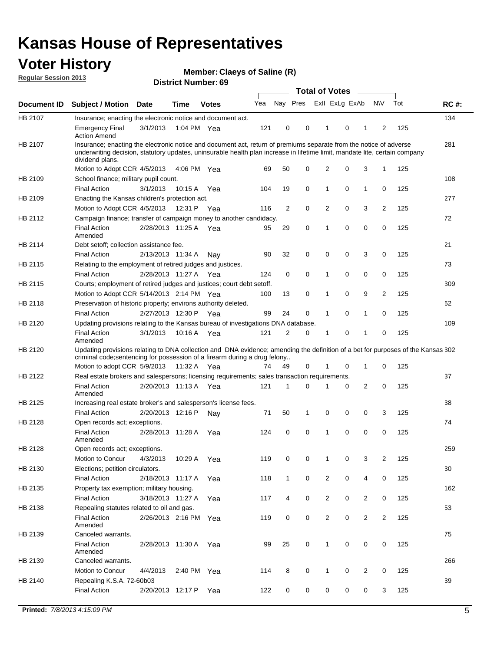## **Voter History**

**Member: Claeys of Saline (R)** 

**Regular Session 2013**

|             |                                                                                                                                                                                                                                                                      |                       |             |              |     |              |                         | <b>Total of Votes</b> |   | $\frac{1}{2}$  |                |     |             |
|-------------|----------------------------------------------------------------------------------------------------------------------------------------------------------------------------------------------------------------------------------------------------------------------|-----------------------|-------------|--------------|-----|--------------|-------------------------|-----------------------|---|----------------|----------------|-----|-------------|
| Document ID | <b>Subject / Motion</b>                                                                                                                                                                                                                                              | <b>Date</b>           | <b>Time</b> | <b>Votes</b> | Yea |              | Nay Pres Exll ExLg ExAb |                       |   |                | <b>NV</b>      | Tot | <b>RC#:</b> |
| HB 2107     | Insurance; enacting the electronic notice and document act.                                                                                                                                                                                                          |                       |             |              |     |              |                         |                       |   |                |                |     | 134         |
|             | <b>Emergency Final</b><br><b>Action Amend</b>                                                                                                                                                                                                                        | 3/1/2013              | 1:04 PM Yea |              | 121 | 0            | 0                       | 1                     | 0 | 1              | 2              | 125 |             |
| HB 2107     | Insurance; enacting the electronic notice and document act, return of premiums separate from the notice of adverse<br>underwriting decision, statutory updates, uninsurable health plan increase in lifetime limit, mandate lite, certain company<br>dividend plans. |                       |             |              |     |              |                         |                       |   |                |                |     | 281         |
|             | Motion to Adopt CCR 4/5/2013                                                                                                                                                                                                                                         |                       | 4:06 PM Yea |              | 69  | 50           | $\mathbf 0$             | 2                     | 0 | 3              | 1              | 125 |             |
| HB 2109     | School finance; military pupil count.                                                                                                                                                                                                                                |                       |             |              |     |              |                         |                       |   |                |                |     | 108         |
|             | <b>Final Action</b>                                                                                                                                                                                                                                                  | 3/1/2013              | 10:15 A     | Yea          | 104 | 19           | 0                       | 1                     | 0 | $\mathbf{1}$   | 0              | 125 |             |
| HB 2109     | Enacting the Kansas children's protection act.                                                                                                                                                                                                                       |                       |             |              |     |              |                         |                       |   |                |                |     | 277         |
|             | Motion to Adopt CCR 4/5/2013                                                                                                                                                                                                                                         |                       | 12:31 P Yea |              | 116 | 2            | 0                       | 2                     | 0 | 3              | 2              | 125 |             |
| HB 2112     | Campaign finance; transfer of campaign money to another candidacy.                                                                                                                                                                                                   |                       |             |              |     |              |                         |                       |   |                |                |     | 72          |
|             | <b>Final Action</b><br>Amended                                                                                                                                                                                                                                       | 2/28/2013 11:25 A Yea |             |              | 95  | 29           | 0                       | 1                     | 0 | 0              | 0              | 125 |             |
| HB 2114     | Debt setoff; collection assistance fee.                                                                                                                                                                                                                              |                       |             |              |     |              |                         |                       |   |                |                |     | 21          |
|             | <b>Final Action</b>                                                                                                                                                                                                                                                  | 2/13/2013 11:34 A     |             | Nay          | 90  | 32           | 0                       | 0                     | 0 | 3              | 0              | 125 |             |
| HB 2115     | Relating to the employment of retired judges and justices.                                                                                                                                                                                                           |                       |             |              |     |              |                         |                       |   |                |                |     | 73          |
|             | <b>Final Action</b>                                                                                                                                                                                                                                                  | 2/28/2013 11:27 A     |             | Yea          | 124 | 0            | 0                       | 1                     | 0 | 0              | 0              | 125 |             |
| HB 2115     | Courts; employment of retired judges and justices; court debt setoff.                                                                                                                                                                                                |                       |             |              |     |              |                         |                       |   |                |                |     | 309         |
|             | Motion to Adopt CCR 5/14/2013 2:14 PM Yea                                                                                                                                                                                                                            |                       |             |              | 100 | 13           | 0                       | 1                     | 0 | 9              | $\overline{2}$ | 125 |             |
| HB 2118     | Preservation of historic property; environs authority deleted.                                                                                                                                                                                                       |                       |             |              |     |              |                         |                       |   |                |                |     | 62          |
|             | <b>Final Action</b>                                                                                                                                                                                                                                                  | 2/27/2013 12:30 P     |             | Yea          | 99  | 24           | 0                       | 1                     | 0 | 1              | 0              | 125 |             |
| HB 2120     | Updating provisions relating to the Kansas bureau of investigations DNA database.                                                                                                                                                                                    |                       |             |              |     |              |                         |                       |   |                |                |     | 109         |
|             | <b>Final Action</b><br>Amended                                                                                                                                                                                                                                       | 3/1/2013              | 10:16 A     | Yea          | 121 | 2            | 0                       | 1                     | 0 | 1              | 0              | 125 |             |
| HB 2120     | Updating provisions relating to DNA collection and DNA evidence; amending the definition of a bet for purposes of the Kansas 302<br>criminal code; sentencing for possession of a firearm during a drug felony                                                       |                       |             |              |     |              |                         |                       |   |                |                |     |             |
|             | Motion to adopt CCR 5/9/2013 11:32 A Yea                                                                                                                                                                                                                             |                       |             |              | 74  | 49           | 0                       | 1                     | 0 | 1              | 0              | 125 |             |
| HB 2122     | Real estate brokers and salespersons; licensing requirements; sales transaction requirements.                                                                                                                                                                        |                       |             |              |     |              |                         |                       |   |                |                |     | 37          |
|             | <b>Final Action</b><br>Amended                                                                                                                                                                                                                                       | 2/20/2013 11:13 A Yea |             |              | 121 | 1            | 0                       |                       | 0 | 2              | 0              | 125 |             |
| HB 2125     | Increasing real estate broker's and salesperson's license fees.                                                                                                                                                                                                      |                       |             |              |     |              |                         |                       |   |                |                |     | 38          |
|             | <b>Final Action</b>                                                                                                                                                                                                                                                  | 2/20/2013 12:16 P     |             | Nav          | 71  | 50           | 1                       | 0                     | 0 | 0              | 3              | 125 |             |
| HB 2128     | Open records act; exceptions.                                                                                                                                                                                                                                        |                       |             |              |     |              |                         |                       |   |                |                |     | 74          |
|             | <b>Final Action</b>                                                                                                                                                                                                                                                  | 2/28/2013 11:28 A     |             | Yea          | 124 | 0            | 0                       | 1                     | 0 | 0              | 0              | 125 |             |
| HB 2128     | Amended<br>Open records act; exceptions.                                                                                                                                                                                                                             |                       |             |              |     |              |                         |                       |   |                |                |     | 259         |
|             | Motion to Concur                                                                                                                                                                                                                                                     | 4/3/2013              | 10:29 A     |              | 119 | 0            | 0                       | 1                     | 0 | 3              | $\overline{2}$ | 125 |             |
|             |                                                                                                                                                                                                                                                                      |                       |             | Yea          |     |              |                         |                       |   |                |                |     |             |
| HB 2130     | Elections; petition circulators.<br><b>Final Action</b>                                                                                                                                                                                                              | 2/18/2013 11:17 A     |             |              | 118 | $\mathbf{1}$ | 0                       | 2                     | 0 | 4              | 0              | 125 | 30          |
|             |                                                                                                                                                                                                                                                                      |                       |             | Yea          |     |              |                         |                       |   |                |                |     |             |
| HB 2135     | Property tax exemption; military housing.                                                                                                                                                                                                                            |                       |             |              |     |              |                         |                       |   |                |                |     | 162         |
|             | <b>Final Action</b>                                                                                                                                                                                                                                                  | 3/18/2013 11:27 A     |             | Yea          | 117 | 4            | 0                       | $\overline{2}$        | 0 | $\overline{2}$ | 0              | 125 |             |
| HB 2138     | Repealing statutes related to oil and gas.                                                                                                                                                                                                                           |                       |             |              |     |              |                         |                       |   |                |                |     | 53          |
|             | <b>Final Action</b><br>Amended                                                                                                                                                                                                                                       | 2/26/2013 2:16 PM Yea |             |              | 119 | 0            | 0                       | $\overline{2}$        | 0 | $\overline{2}$ | $\overline{2}$ | 125 |             |
| HB 2139     | Canceled warrants.                                                                                                                                                                                                                                                   |                       |             |              |     |              |                         |                       |   |                |                |     | 75          |
|             | <b>Final Action</b><br>Amended                                                                                                                                                                                                                                       | 2/28/2013 11:30 A     |             | Yea          | 99  | 25           | 0                       | $\mathbf{1}$          | 0 | 0              | 0              | 125 |             |
| HB 2139     | Canceled warrants.                                                                                                                                                                                                                                                   |                       |             |              |     |              |                         |                       |   |                |                |     | 266         |
|             | Motion to Concur                                                                                                                                                                                                                                                     | 4/4/2013              | 2:40 PM     | Yea          | 114 | 8            | 0                       | 1                     | 0 | 2              | 0              | 125 |             |
| HB 2140     | Repealing K.S.A. 72-60b03                                                                                                                                                                                                                                            |                       |             |              |     |              |                         |                       |   |                |                |     | 39          |
|             | <b>Final Action</b>                                                                                                                                                                                                                                                  | 2/20/2013 12:17 P     |             | Yea          | 122 | 0            | 0                       | 0                     | 0 | 0              | 3              | 125 |             |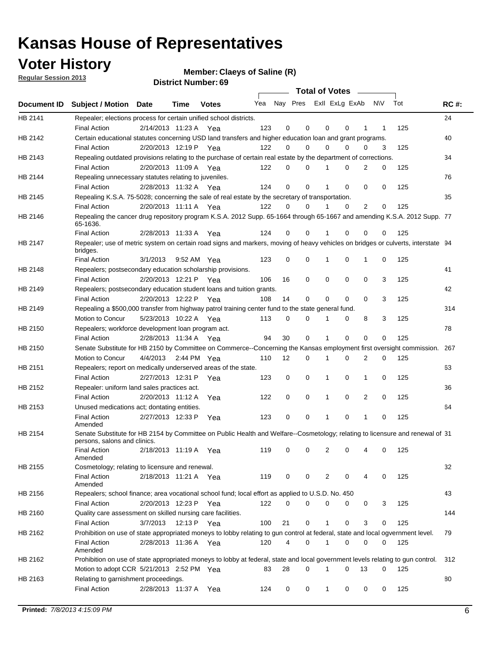**Voter History** 

**Member: Claeys of Saline (R)** 

**Regular Session 2013**

|                |                                                                                                                                              |          |                       |              |                             |    | <b>Total of Votes</b> |              |          | $\sim$         |     |     |             |
|----------------|----------------------------------------------------------------------------------------------------------------------------------------------|----------|-----------------------|--------------|-----------------------------|----|-----------------------|--------------|----------|----------------|-----|-----|-------------|
|                | Document ID Subject / Motion Date                                                                                                            |          | Time                  | <b>Votes</b> | Yea Nay Pres ExII ExLg ExAb |    |                       |              |          |                | N\V | Tot | <b>RC#:</b> |
| HB 2141        | Repealer; elections process for certain unified school districts.                                                                            |          |                       |              |                             |    |                       |              |          |                |     |     | 24          |
|                | <b>Final Action</b>                                                                                                                          |          | 2/14/2013 11:23 A     | Yea          | 123                         | 0  | 0                     | 0            | 0        | 1              | 1   | 125 |             |
| HB 2142        | Certain educational statutes concerning USD land transfers and higher education loan and grant programs.                                     |          |                       |              |                             |    |                       |              |          |                |     |     | 40          |
|                | <b>Final Action</b>                                                                                                                          |          | 2/20/2013 12:19 P     | Yea          | 122                         | 0  | 0                     | 0            | 0        | 0              | 3   | 125 |             |
| HB 2143        | Repealing outdated provisions relating to the purchase of certain real estate by the department of corrections.                              |          |                       |              |                             |    |                       |              |          |                |     |     | 34          |
|                | <b>Final Action</b>                                                                                                                          |          | 2/20/2013 11:09 A Yea |              | 122                         | 0  | 0                     |              | 0        | $\overline{2}$ | 0   | 125 |             |
| HB 2144        | Repealing unnecessary statutes relating to juveniles.                                                                                        |          |                       |              |                             |    |                       |              |          |                |     |     | 76          |
|                | <b>Final Action</b>                                                                                                                          |          | 2/28/2013 11:32 A Yea |              | 124                         | 0  | 0                     |              | 0        | 0              | 0   | 125 |             |
| <b>HB 2145</b> | Repealing K.S.A. 75-5028; concerning the sale of real estate by the secretary of transportation.                                             |          |                       |              |                             |    |                       |              |          |                |     |     | 35          |
|                | <b>Final Action</b>                                                                                                                          |          | 2/20/2013 11:11 A Yea |              | 122                         | 0  | 0                     |              | 0        | 2              | 0   | 125 |             |
| HB 2146        | Repealing the cancer drug repository program K.S.A. 2012 Supp. 65-1664 through 65-1667 and amending K.S.A. 2012 Supp. 77<br>65-1636.         |          |                       |              |                             |    |                       |              |          |                |     |     |             |
|                | <b>Final Action</b>                                                                                                                          |          | 2/28/2013 11:33 A     | Yea          | 124                         | 0  | 0                     |              | 0        | 0              | 0   | 125 |             |
| HB 2147        | Repealer; use of metric system on certain road signs and markers, moving of heavy vehicles on bridges or culverts, interstate 94<br>bridges. |          |                       |              |                             |    |                       |              |          |                |     |     |             |
|                | <b>Final Action</b>                                                                                                                          | 3/1/2013 |                       | 9:52 AM Yea  | 123                         | 0  | 0                     | 1            | 0        | 1              | 0   | 125 |             |
| HB 2148        | Repealers; postsecondary education scholarship provisions.                                                                                   |          |                       |              |                             |    |                       |              |          |                |     |     | 41          |
|                | <b>Final Action</b>                                                                                                                          |          | 2/20/2013 12:21 P Yea |              | 106                         | 16 | 0                     | 0            | 0        | 0              | 3   | 125 |             |
| HB 2149        | Repealers; postsecondary education student loans and tuition grants.                                                                         |          |                       |              |                             |    |                       |              |          |                |     |     | 42          |
|                | <b>Final Action</b>                                                                                                                          |          | 2/20/2013 12:22 P     | Yea          | 108                         | 14 | 0                     | 0            | 0        | $\Omega$       | 3   | 125 |             |
| HB 2149        | Repealing a \$500,000 transfer from highway patrol training center fund to the state general fund.                                           |          |                       |              |                             |    |                       |              |          |                |     |     | 314         |
|                | Motion to Concur                                                                                                                             |          | 5/23/2013 10:22 A Yea |              | 113                         | 0  | 0                     | 1            | 0        | 8              | 3   | 125 |             |
| HB 2150        | Repealers; workforce development loan program act.                                                                                           |          |                       |              |                             |    |                       |              |          |                |     |     | 78          |
|                | <b>Final Action</b>                                                                                                                          |          | 2/28/2013 11:34 A Yea |              | 94                          | 30 | 0                     | 1            | 0        | $\mathbf 0$    | 0   | 125 |             |
| HB 2150        | Senate Substitute for HB 2150 by Committee on Commerce--Concerning the Kansas employment first oversight commission.                         |          |                       |              |                             |    |                       |              |          |                |     |     | 267         |
|                | Motion to Concur                                                                                                                             | 4/4/2013 |                       | 2:44 PM Yea  | 110                         | 12 | 0                     | 1            | 0        | 2              | 0   | 125 |             |
| HB 2151        | Repealers; report on medically underserved areas of the state.                                                                               |          |                       |              |                             |    |                       |              |          |                |     |     | 63          |
|                | <b>Final Action</b>                                                                                                                          |          | 2/27/2013 12:31 P     | Yea          | 123                         | 0  | 0                     | 1            | 0        | 1              | 0   | 125 |             |
| HB 2152        | Repealer: uniform land sales practices act.                                                                                                  |          |                       |              |                             |    |                       |              |          |                |     |     | 36          |
|                | <b>Final Action</b>                                                                                                                          |          | 2/20/2013 11:12 A     | Yea          | 122                         | 0  | 0                     | 1            | 0        | 2              | 0   | 125 |             |
| HB 2153        | Unused medications act; dontating entities.                                                                                                  |          |                       |              |                             |    |                       |              |          |                |     |     | 64          |
|                | <b>Final Action</b><br>Amended                                                                                                               |          | 2/27/2013 12:33 P     | Yea          | 123                         | 0  | 0                     |              | 0        | 1              | 0   | 125 |             |
| HB 2154        | Senate Substitute for HB 2154 by Committee on Public Health and Welfare--Cosmetology; relating to licensure and renewal of 31                |          |                       |              |                             |    |                       |              |          |                |     |     |             |
|                | persons, salons and clinics.                                                                                                                 |          |                       |              |                             |    |                       |              |          |                |     |     |             |
|                | <b>Final Action</b><br>Amended                                                                                                               |          | 2/18/2013 11:19 A     | Yea          | 119                         | 0  | 0                     | 2            | 0        |                | 0   | 125 |             |
| HB 2155        | Cosmetology; relating to licensure and renewal.                                                                                              |          |                       |              |                             |    |                       |              |          |                |     |     | 32          |
|                | <b>Final Action</b><br>Amended                                                                                                               |          | 2/18/2013 11:21 A Yea |              | 119                         | 0  | 0                     | 2            | 0        | 4              | 0   | 125 |             |
| HB 2156        | Repealers; school finance; area vocational school fund; local effort as applied to U.S.D. No. 450                                            |          |                       |              |                             |    |                       |              |          |                |     |     | 43          |
|                | <b>Final Action</b>                                                                                                                          |          | 2/20/2013 12:23 P     | Yea          | 122                         | 0  | 0                     | 0            | 0        | 0              | 3   | 125 |             |
| HB 2160        | Quality care assessment on skilled nursing care facilities.                                                                                  |          |                       |              |                             |    |                       |              |          |                |     |     | 144         |
|                | <b>Final Action</b>                                                                                                                          | 3/7/2013 | 12:13 P               | Yea          | 100                         | 21 | 0                     | $\mathbf{1}$ | 0        | 3              | 0   | 125 |             |
| HB 2162        | Prohibition on use of state appropriated moneys to lobby relating to gun control at federal, state and local ogvernment level.               |          |                       |              |                             |    |                       |              |          |                |     |     | 79          |
|                | <b>Final Action</b><br>Amended                                                                                                               |          | 2/28/2013 11:36 A Yea |              | 120                         | 4  | 0                     | 1            | 0        | 0              | 0   | 125 |             |
| HB 2162        | Prohibition on use of state appropriated moneys to lobby at federal, state and local government levels relating to gun control.              |          |                       |              |                             |    |                       |              |          |                |     |     | 312         |
|                | Motion to adopt CCR 5/21/2013 2:52 PM Yea                                                                                                    |          |                       |              | 83                          | 28 | 0                     | 1            | $\Omega$ | 13             | 0   | 125 |             |
| HB 2163        | Relating to garnishment proceedings.                                                                                                         |          |                       |              |                             |    |                       |              |          |                |     |     | 80          |
|                | <b>Final Action</b>                                                                                                                          |          | 2/28/2013 11:37 A Yea |              | 124                         | 0  | 0                     | $\mathbf{1}$ | 0        | 0              | 0   | 125 |             |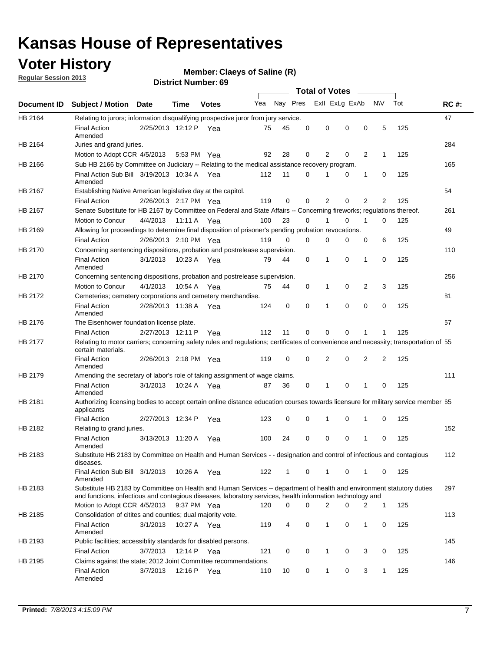## **Voter History**

**Member: Claeys of Saline (R)** 

**Regular Session 2013**

|             |                                                                                                                                                                                                                                    |                       |             | טט וסמוווארו ועוווסו |     |          |          | <b>Total of Votes</b> |          | $\sim$         |                |     |             |
|-------------|------------------------------------------------------------------------------------------------------------------------------------------------------------------------------------------------------------------------------------|-----------------------|-------------|----------------------|-----|----------|----------|-----------------------|----------|----------------|----------------|-----|-------------|
| Document ID | <b>Subject / Motion Date</b>                                                                                                                                                                                                       |                       | Time        | <b>Votes</b>         | Yea | Nay Pres |          | Exll ExLg ExAb        |          |                | <b>NV</b>      | Tot | <b>RC#:</b> |
| HB 2164     | Relating to jurors; information disqualifying prospective juror from jury service.                                                                                                                                                 |                       |             |                      |     |          |          |                       |          |                |                |     | 47          |
|             | <b>Final Action</b><br>Amended                                                                                                                                                                                                     | 2/25/2013 12:12 P Yea |             |                      | 75  | 45       | 0        | 0                     | 0        | 0              | 5              | 125 |             |
| HB 2164     | Juries and grand juries.                                                                                                                                                                                                           |                       |             |                      |     |          |          |                       |          |                |                |     | 284         |
|             | Motion to Adopt CCR 4/5/2013                                                                                                                                                                                                       |                       | 5:53 PM Yea |                      | 92  | 28       | 0        | 2                     | 0        | $\overline{2}$ | 1              | 125 |             |
| HB 2166     | Sub HB 2166 by Committee on Judiciary -- Relating to the medical assistance recovery program.                                                                                                                                      |                       |             |                      |     |          |          |                       |          |                |                |     | 165         |
|             | Final Action Sub Bill 3/19/2013 10:34 A Yea<br>Amended                                                                                                                                                                             |                       |             |                      | 112 | 11       | $\Omega$ |                       | 0        | 1              | 0              | 125 |             |
| HB 2167     | Establishing Native American legislative day at the capitol.                                                                                                                                                                       |                       |             |                      |     |          |          |                       |          |                |                |     | 54          |
|             | <b>Final Action</b>                                                                                                                                                                                                                | 2/26/2013 2:17 PM Yea |             |                      | 119 | 0        | $\Omega$ | 2                     | 0        | $\overline{2}$ | 2              | 125 |             |
| HB 2167     | Senate Substitute for HB 2167 by Committee on Federal and State Affairs -- Concerning fireworks; regulations thereof.                                                                                                              |                       |             |                      |     |          |          |                       |          |                |                |     | 261         |
|             | Motion to Concur                                                                                                                                                                                                                   | 4/4/2013              | 11:11 A Yea |                      | 100 | 23       | 0        | 1                     | 0        | 1              | 0              | 125 |             |
| HB 2169     | Allowing for proceedings to determine final disposition of prisoner's pending probation revocations.                                                                                                                               |                       |             |                      |     |          |          |                       |          |                |                |     | 49          |
|             | <b>Final Action</b>                                                                                                                                                                                                                | 2/26/2013 2:10 PM Yea |             |                      | 119 | 0        | 0        | 0                     | 0        | 0              | 6              | 125 |             |
| HB 2170     | Concerning sentencing dispositions, probation and postrelease supervision.                                                                                                                                                         |                       |             |                      |     |          |          |                       |          |                |                |     | 110         |
|             | <b>Final Action</b><br>Amended                                                                                                                                                                                                     | 3/1/2013              | 10:23 A Yea |                      | 79  | 44       | 0        | 1                     | 0        | 1              | 0              | 125 |             |
| HB 2170     | Concerning sentencing dispositions, probation and postrelease supervision.                                                                                                                                                         |                       |             |                      |     |          |          |                       |          |                |                |     | 256         |
|             | Motion to Concur                                                                                                                                                                                                                   | 4/1/2013              | 10:54 A Yea |                      | 75  | 44       | 0        | 1                     | 0        | $\overline{2}$ | 3              | 125 |             |
| HB 2172     | Cemeteries; cemetery corporations and cemetery merchandise.                                                                                                                                                                        |                       |             |                      |     |          |          |                       |          |                |                |     | 81          |
|             | <b>Final Action</b><br>Amended                                                                                                                                                                                                     | 2/28/2013 11:38 A Yea |             |                      | 124 | 0        | 0        | 1                     | 0        | $\Omega$       | 0              | 125 |             |
| HB 2176     | The Eisenhower foundation license plate.                                                                                                                                                                                           |                       |             |                      |     |          |          |                       |          |                |                |     | 57          |
|             | <b>Final Action</b>                                                                                                                                                                                                                | 2/27/2013 12:11 P     |             | Yea                  | 112 | 11       | $\Omega$ | 0                     | 0        | 1              | 1              | 125 |             |
| HB 2177     | Relating to motor carriers; concerning safety rules and regulations; certificates of convenience and necessity; transportation of 55<br>certain materials.                                                                         |                       |             |                      |     |          |          |                       |          |                |                |     |             |
|             | <b>Final Action</b><br>Amended                                                                                                                                                                                                     | 2/26/2013 2:18 PM Yea |             |                      | 119 | 0        | $\Omega$ | 2                     | 0        | $\overline{2}$ | $\overline{2}$ | 125 |             |
| HB 2179     | Amending the secretary of labor's role of taking assignment of wage claims.                                                                                                                                                        |                       |             |                      |     |          |          |                       |          |                |                |     | 111         |
|             | <b>Final Action</b><br>Amended                                                                                                                                                                                                     | 3/1/2013              | 10:24 A Yea |                      | 87  | 36       | 0        | 1                     | $\Omega$ | 1              | 0              | 125 |             |
| HB 2181     | Authorizing licensing bodies to accept certain online distance education courses towards licensure for military service member 55<br>applicants                                                                                    |                       |             |                      |     |          |          |                       |          |                |                |     |             |
|             | <b>Final Action</b>                                                                                                                                                                                                                | 2/27/2013 12:34 P     |             | Yea                  | 123 | 0        | 0        |                       | 0        | 1              | 0              | 125 |             |
| HB 2182     | Relating to grand juries.                                                                                                                                                                                                          |                       |             |                      |     |          |          |                       |          |                |                |     | 152         |
|             | <b>Final Action</b><br>Amended                                                                                                                                                                                                     | 3/13/2013 11:20 A     |             | Yea                  | 100 | 24       | 0        | 0                     | 0        | 1              | 0              | 125 |             |
| HB 2183     | Substitute HB 2183 by Committee on Health and Human Services - - designation and control of infectious and contagious<br>diseases.                                                                                                 |                       |             |                      |     |          |          |                       |          |                |                |     | 112         |
|             | Final Action Sub Bill 3/1/2013<br>Amended                                                                                                                                                                                          |                       | 10:26 A Yea |                      | 122 | 1        | 0        | 1                     | 0        | 1              | 0              | 125 |             |
| HB 2183     | Substitute HB 2183 by Committee on Health and Human Services -- department of health and environment statutory duties<br>and functions, infectious and contagious diseases, laboratory services, health information technology and |                       |             |                      |     |          |          |                       |          |                |                |     | 297         |
|             | Motion to Adopt CCR 4/5/2013                                                                                                                                                                                                       |                       | 9:37 PM Yea |                      | 120 | 0        | 0        | 2                     | 0        | 2              | 1              | 125 |             |
| HB 2185     | Consolidation of citites and counties; dual majority vote.                                                                                                                                                                         |                       |             |                      |     |          |          |                       |          |                |                |     | 113         |
|             | <b>Final Action</b><br>Amended                                                                                                                                                                                                     | 3/1/2013              | 10:27 A Yea |                      | 119 | 4        | 0        | 1                     | 0        | $\mathbf{1}$   | 0              | 125 |             |
| HB 2193     | Public facilities; accessiblity standards for disabled persons.                                                                                                                                                                    |                       |             |                      |     |          |          |                       |          |                |                |     | 145         |
|             | <b>Final Action</b>                                                                                                                                                                                                                | 3/7/2013              | 12:14 P     | Yea                  | 121 | 0        | 0        | 1                     | 0        | 3              | 0              | 125 |             |
| HB 2195     | Claims against the state; 2012 Joint Committee recommendations.                                                                                                                                                                    |                       |             |                      |     |          |          |                       |          |                |                |     | 146         |
|             | <b>Final Action</b><br>Amended                                                                                                                                                                                                     | 3/7/2013              | 12:16 P Yea |                      | 110 | 10       | 0        | 1                     | 0        | 3              | 1              | 125 |             |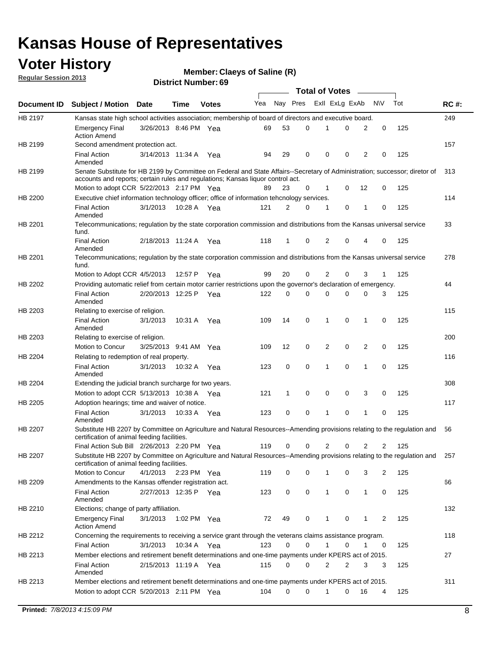## **Voter History**

**Member: Claeys of Saline (R)** 

**Regular Session 2013**

|             |                                                                                                                                                                                                                |                       |             |              |     |              |          | <b>Total of Votes</b> |   |                |             |     |             |
|-------------|----------------------------------------------------------------------------------------------------------------------------------------------------------------------------------------------------------------|-----------------------|-------------|--------------|-----|--------------|----------|-----------------------|---|----------------|-------------|-----|-------------|
| Document ID | <b>Subject / Motion Date</b>                                                                                                                                                                                   |                       | Time        | <b>Votes</b> | Yea | Nay Pres     |          | Exll ExLg ExAb        |   |                | <b>NV</b>   | Tot | <b>RC#:</b> |
| HB 2197     | Kansas state high school activities association; membership of board of directors and executive board.                                                                                                         |                       |             |              |     |              |          |                       |   |                |             |     | 249         |
|             | <b>Emergency Final</b><br><b>Action Amend</b>                                                                                                                                                                  | 3/26/2013 8:46 PM Yea |             |              | 69  | 53           | 0        |                       | 0 | 2              | 0           | 125 |             |
| HB 2199     | Second amendment protection act.                                                                                                                                                                               |                       |             |              |     |              |          |                       |   |                |             |     | 157         |
|             | <b>Final Action</b><br>Amended                                                                                                                                                                                 | 3/14/2013 11:34 A     |             | Yea          | 94  | 29           | 0        | 0                     | 0 | 2              | 0           | 125 |             |
| HB 2199     | Senate Substitute for HB 2199 by Committee on Federal and State Affairs--Secretary of Administration; successor; diretor of<br>accounts and reports; certain rules and regulations; Kansas liguor control act. |                       |             |              |     |              |          |                       |   |                |             |     | 313         |
|             | Motion to adopt CCR 5/22/2013 2:17 PM Yea                                                                                                                                                                      |                       |             |              | 89  | 23           | 0        | 1                     | 0 | 12             | 0           | 125 |             |
| HB 2200     | Executive chief information technology officer; office of information tehcnology services.                                                                                                                     |                       |             |              |     |              |          |                       |   |                |             |     | 114         |
|             | <b>Final Action</b><br>Amended                                                                                                                                                                                 | 3/1/2013              | 10:28 A     | Yea          | 121 | 2            | 0        | 1                     | 0 | 1              | 0           | 125 |             |
| HB 2201     | Telecommunications; regulation by the state corporation commission and distributions from the Kansas universal service<br>fund.                                                                                |                       |             |              |     |              |          |                       |   |                |             |     | 33          |
|             | <b>Final Action</b><br>Amended                                                                                                                                                                                 | 2/18/2013 11:24 A     |             | Yea          | 118 | $\mathbf{1}$ | 0        | 2                     | 0 | 4              | 0           | 125 |             |
| HB 2201     | Telecommunications; regulation by the state corporation commission and distributions from the Kansas universal service<br>fund.                                                                                |                       |             |              |     |              |          |                       |   |                |             |     | 278         |
|             | Motion to Adopt CCR 4/5/2013                                                                                                                                                                                   |                       | 12:57 P     | Yea          | 99  | 20           | 0        | 2                     | 0 | 3              | 1           | 125 |             |
| HB 2202     | Providing automatic relief from certain motor carrier restrictions upon the governor's declaration of emergency.                                                                                               |                       |             |              |     |              |          |                       |   |                |             |     | 44          |
|             | <b>Final Action</b><br>Amended                                                                                                                                                                                 | 2/20/2013 12:25 P     |             | Yea          | 122 | 0            | 0        | 0                     | 0 | 0              | 3           | 125 |             |
| HB 2203     | Relating to exercise of religion.                                                                                                                                                                              |                       |             |              |     |              |          |                       |   |                |             |     | 115         |
|             | <b>Final Action</b><br>Amended                                                                                                                                                                                 | 3/1/2013              |             | 10:31 A Yea  | 109 | 14           | 0        | $\mathbf 1$           | 0 | 1              | 0           | 125 |             |
| HB 2203     | Relating to exercise of religion.                                                                                                                                                                              |                       |             |              |     |              |          |                       |   |                |             |     | 200         |
|             | Motion to Concur                                                                                                                                                                                               | 3/25/2013 9:41 AM Yea |             |              | 109 | 12           | 0        | 2                     | 0 | $\overline{2}$ | 0           | 125 |             |
| HB 2204     | Relating to redemption of real property.                                                                                                                                                                       |                       |             |              |     |              |          |                       |   |                |             |     | 116         |
|             | <b>Final Action</b><br>Amended                                                                                                                                                                                 | 3/1/2013              | 10:32 A     | Yea          | 123 | 0            | 0        | 1                     | 0 | $\mathbf{1}$   | $\mathbf 0$ | 125 |             |
| HB 2204     | Extending the judicial branch surcharge for two years.                                                                                                                                                         |                       |             |              |     |              |          |                       |   |                |             |     | 308         |
|             | Motion to adopt CCR 5/13/2013 10:38 A Yea                                                                                                                                                                      |                       |             |              | 121 | 1            | 0        | 0                     | 0 | 3              | 0           | 125 |             |
| HB 2205     | Adoption hearings; time and waiver of notice.                                                                                                                                                                  |                       |             |              |     |              |          |                       |   |                |             |     | 117         |
|             | <b>Final Action</b><br>Amended                                                                                                                                                                                 | 3/1/2013              | 10:33 A Yea |              | 123 | 0            | 0        | 1                     | 0 | 1              | 0           | 125 |             |
| HB 2207     | Substitute HB 2207 by Committee on Agriculture and Natural Resources--Amending provisions relating to the regulation and<br>certification of animal feeding facilities.                                        |                       |             |              |     |              |          |                       |   |                |             |     | 56          |
|             | Final Action Sub Bill 2/26/2013 2:20 PM Yea                                                                                                                                                                    |                       |             |              | 119 | 0            | 0        | 2                     | 0 | 2              | 2           | 125 |             |
| HB 2207     | Substitute HB 2207 by Committee on Agriculture and Natural Resources--Amending provisions relating to the regulation and 257<br>certification of animal feeding facilities.                                    |                       |             |              |     |              |          |                       |   |                |             |     |             |
|             | Motion to Concur                                                                                                                                                                                               | 4/1/2013              | 2:23 PM Yea |              | 119 | 0            | 0        | 1                     | 0 | 3              | 2           | 125 |             |
| HB 2209     | Amendments to the Kansas offender registration act.                                                                                                                                                            |                       |             |              |     |              |          |                       |   |                |             |     | 66          |
|             | <b>Final Action</b><br>Amended                                                                                                                                                                                 | 2/27/2013 12:35 P Yea |             |              | 123 | 0            | 0        | $\mathbf{1}$          | 0 | $\mathbf{1}$   | 0           | 125 |             |
| HB 2210     | Elections; change of party affiliation.                                                                                                                                                                        |                       |             |              |     |              |          |                       |   |                |             |     | 132         |
|             | <b>Emergency Final</b><br><b>Action Amend</b>                                                                                                                                                                  | 3/1/2013              | 1:02 PM Yea |              | 72  | 49           | 0        | 1                     | 0 | 1              | 2           | 125 |             |
| HB 2212     | Concerning the requirements to receiving a service grant through the veterans claims assistance program.                                                                                                       |                       |             |              |     |              |          |                       |   |                |             |     | 118         |
|             | <b>Final Action</b>                                                                                                                                                                                            | 3/1/2013              | 10:34 A Yea |              | 123 | 0            | 0        | $\mathbf{1}$          | 0 | 1              | 0           | 125 |             |
| HB 2213     | Member elections and retirement benefit determinations and one-time payments under KPERS act of 2015.                                                                                                          |                       |             |              |     |              |          |                       |   |                |             |     | 27          |
|             | <b>Final Action</b><br>Amended                                                                                                                                                                                 | 2/15/2013 11:19 A Yea |             |              | 115 | 0            | 0        | 2                     | 2 | 3              | 3           | 125 |             |
| HB 2213     | Member elections and retirement benefit determinations and one-time payments under KPERS act of 2015.                                                                                                          |                       |             |              |     |              |          |                       |   |                |             |     | 311         |
|             | Motion to adopt CCR 5/20/2013 2:11 PM Yea                                                                                                                                                                      |                       |             |              | 104 | $\Omega$     | $\Omega$ | $\mathbf 1$           | 0 | 16             | 4           | 125 |             |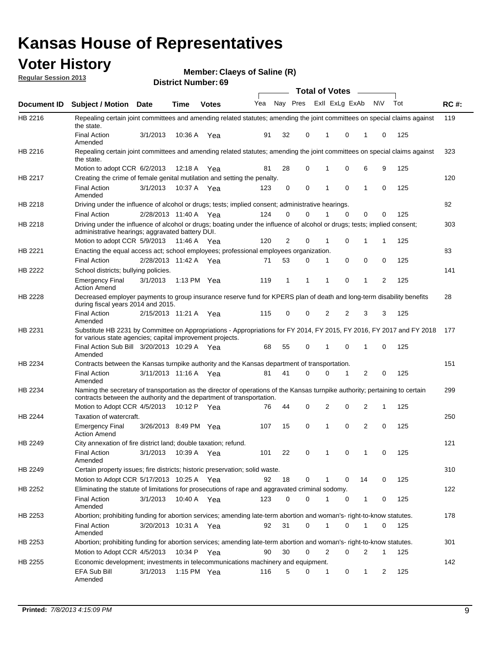## **Voter History**

**Member: Claeys of Saline (R)** 

**Regular Session 2013**

|                    |                                                                                                                                                                                                       |                       |             | טט . וסעווואזו ואו ווסוע |                             |              |          |              | <b>Total of Votes</b> | $\sim$         |           |     |             |
|--------------------|-------------------------------------------------------------------------------------------------------------------------------------------------------------------------------------------------------|-----------------------|-------------|--------------------------|-----------------------------|--------------|----------|--------------|-----------------------|----------------|-----------|-----|-------------|
| <b>Document ID</b> | <b>Subject / Motion</b>                                                                                                                                                                               | Date                  | Time        | <b>Votes</b>             | Yea Nay Pres ExII ExLg ExAb |              |          |              |                       |                | <b>NV</b> | Tot | <b>RC#:</b> |
| HB 2216            | Repealing certain joint committees and amending related statutes; amending the joint committees on special claims against<br>the state.                                                               |                       |             |                          |                             |              |          |              |                       |                |           |     | 119         |
|                    | <b>Final Action</b><br>Amended                                                                                                                                                                        | 3/1/2013              | 10:36 A     | Yea                      | 91                          | 32           | 0        | 1            | 0                     | 1              | 0         | 125 |             |
| HB 2216            | Repealing certain joint committees and amending related statutes; amending the joint committees on special claims against<br>the state.                                                               |                       |             |                          |                             |              |          |              |                       |                |           |     | 323         |
|                    | Motion to adopt CCR 6/2/2013                                                                                                                                                                          |                       | 12:18 A     | Yea                      | 81                          | 28           | 0        | 1            | 0                     | 6              | 9         | 125 |             |
| HB 2217            | Creating the crime of female genital mutilation and setting the penalty.                                                                                                                              |                       |             |                          |                             |              |          |              |                       |                |           |     | 120         |
|                    | <b>Final Action</b><br>Amended                                                                                                                                                                        | 3/1/2013              |             | 10:37 A Yea              | 123                         | 0            | 0        | 1            | $\mathbf 0$           | $\mathbf{1}$   | 0         | 125 |             |
| HB 2218            | Driving under the influence of alcohol or drugs; tests; implied consent; administrative hearings.                                                                                                     |                       |             |                          |                             |              |          |              |                       |                |           |     | 82          |
|                    | <b>Final Action</b>                                                                                                                                                                                   | 2/28/2013 11:40 A Yea |             |                          | 124                         | 0            | 0        | 1            | $\Omega$              | 0              | 0         | 125 |             |
| HB 2218            | Driving under the influence of alcohol or drugs; boating under the influence of alcohol or drugs; tests; implied consent;<br>administrative hearings; aggravated battery DUI.                         |                       |             |                          |                             |              |          |              |                       |                |           |     | 303         |
|                    | Motion to adopt CCR 5/9/2013                                                                                                                                                                          |                       | 11:46 A Yea |                          | 120                         | 2            | 0        | 1            | 0                     | 1              | 1         | 125 |             |
| HB 2221            | Enacting the equal access act; school employees; professional employees organization.                                                                                                                 |                       |             |                          |                             |              |          |              |                       |                |           |     | 83          |
|                    | <b>Final Action</b>                                                                                                                                                                                   | 2/28/2013 11:42 A Yea |             |                          | 71                          | 53           | 0        | 1            | 0                     | 0              | 0         | 125 |             |
| HB 2222            | School districts; bullying policies.                                                                                                                                                                  |                       |             |                          |                             |              |          |              |                       |                |           |     | 141         |
|                    | <b>Emergency Final</b><br><b>Action Amend</b>                                                                                                                                                         | 3/1/2013              |             | 1:13 PM Yea              | 119                         | $\mathbf{1}$ | 1        | 1            | 0                     | $\mathbf{1}$   | 2         | 125 |             |
| HB 2228            | Decreased employer payments to group insurance reserve fund for KPERS plan of death and long-term disability benefits<br>during fiscal years 2014 and 2015.                                           |                       |             |                          |                             |              |          |              |                       |                |           |     | 28          |
|                    | <b>Final Action</b><br>Amended                                                                                                                                                                        | 2/15/2013 11:21 A Yea |             |                          | 115                         | 0            | 0        | 2            | 2                     | 3              | 3         | 125 |             |
| HB 2231            | Substitute HB 2231 by Committee on Appropriations - Appropriations for FY 2014, FY 2015, FY 2016, FY 2017 and FY 2018<br>for various state agencies; capital improvement projects.                    |                       |             |                          |                             |              |          |              |                       |                |           |     | 177         |
|                    | Final Action Sub Bill 3/20/2013 10:29 A Yea<br>Amended                                                                                                                                                |                       |             |                          | 68                          | 55           | 0        |              | 0                     | 1              | 0         | 125 |             |
| HB 2234            | Contracts between the Kansas turnpike authority and the Kansas department of transportation.                                                                                                          |                       |             |                          |                             |              |          |              |                       |                |           |     | 151         |
|                    | <b>Final Action</b><br>Amended                                                                                                                                                                        | 3/11/2013 11:16 A Yea |             |                          | 81                          | 41           | $\Omega$ | 0            | 1                     | $\overline{2}$ | 0         | 125 |             |
| HB 2234            | Naming the secretary of transportation as the director of operations of the Kansas turnpike authority; pertaining to certain<br>contracts between the authority and the department of transportation. |                       |             |                          |                             |              |          |              |                       |                |           |     | 299         |
|                    | Motion to Adopt CCR 4/5/2013                                                                                                                                                                          |                       | 10:12 P     | Yea                      | 76                          | 44           | 0        | 2            | 0                     | 2              | 1         | 125 |             |
| HB 2244            | Taxation of watercraft.<br><b>Emergency Final</b>                                                                                                                                                     | 3/26/2013 8:49 PM Yea |             |                          | 107                         | 15           | 0        | 1            | 0                     | 2              | 0         | 125 | 250         |
|                    | <b>Action Amend</b>                                                                                                                                                                                   |                       |             |                          |                             |              |          |              |                       |                |           |     |             |
| HB 2249            | City annexation of fire district land; double taxation; refund.                                                                                                                                       |                       |             |                          |                             |              |          |              |                       |                |           |     | 121         |
|                    | Final Action 3/1/2013 10:39 A Yea<br>Amended                                                                                                                                                          |                       |             |                          | 101                         | 22           | 0        | $\mathbf{1}$ | 0                     | $\mathbf{1}$   | 0         | 125 |             |
| HB 2249            | Certain property issues; fire districts; historic preservation; solid waste.                                                                                                                          |                       |             |                          |                             |              |          |              |                       |                |           |     | 310         |
|                    | Motion to Adopt CCR 5/17/2013 10:25 A Yea                                                                                                                                                             |                       |             |                          | 92                          | 18           | 0        | 1            | 0                     | 14             | 0         | 125 |             |
| HB 2252            | Eliminating the statute of limitations for prosecutions of rape and aggravated criminal sodomy.                                                                                                       |                       |             |                          |                             |              |          |              |                       |                |           |     | 122         |
|                    | <b>Final Action</b><br>Amended                                                                                                                                                                        | 3/1/2013              |             | 10:40 A Yea              | 123                         | 0            | 0        | 1            | 0                     | $\mathbf{1}$   | 0         | 125 |             |
| HB 2253            | Abortion; prohibiting funding for abortion services; amending late-term abortion and woman's- right-to-know statutes.                                                                                 |                       |             |                          |                             |              |          |              |                       |                |           |     | 178         |
|                    | <b>Final Action</b><br>Amended                                                                                                                                                                        | 3/20/2013 10:31 A Yea |             |                          | 92                          | 31           | 0        | 1            | 0                     | 1              | 0         | 125 |             |
| HB 2253            | Abortion; prohibiting funding for abortion services; amending late-term abortion and woman's- right-to-know statutes.                                                                                 |                       |             |                          |                             |              |          |              |                       |                |           |     | 301         |
|                    | Motion to Adopt CCR 4/5/2013                                                                                                                                                                          |                       |             | 10:34 P Yea              | 90                          | 30           | 0        | 2            | 0                     | 2              | 1         | 125 |             |
| HB 2255            | Economic development; investments in telecommunications machinery and equipment.                                                                                                                      |                       |             |                          |                             |              |          |              |                       |                |           |     | 142         |
|                    | EFA Sub Bill<br>Amended                                                                                                                                                                               | 3/1/2013              |             | 1:15 PM $Yea$            | 116                         | 5            | 0        | 1            | 0                     | 1              | 2         | 125 |             |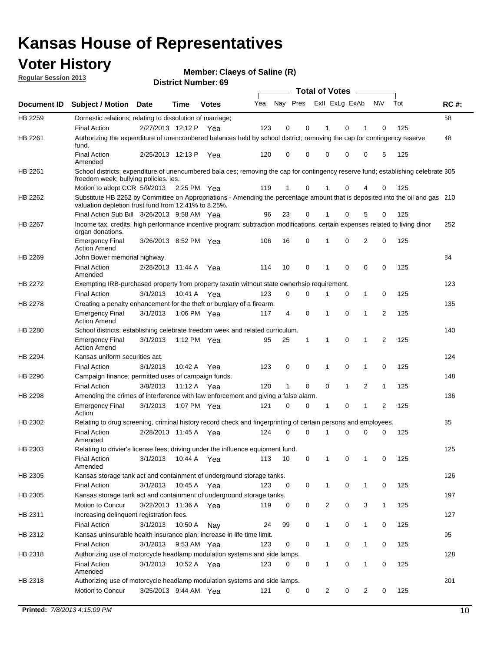## **Voter History**

**Member: Claeys of Saline (R)** 

**Regular Session 2013**

|                    |                                                                                                                                                                                       |                       |             |              |     |                         |          | <b>Total of Votes</b> |   | $\overline{\phantom{a}}$ |                |     |             |
|--------------------|---------------------------------------------------------------------------------------------------------------------------------------------------------------------------------------|-----------------------|-------------|--------------|-----|-------------------------|----------|-----------------------|---|--------------------------|----------------|-----|-------------|
| <b>Document ID</b> | <b>Subject / Motion Date</b>                                                                                                                                                          |                       | <b>Time</b> | <b>Votes</b> | Yea | Nay Pres Exll ExLg ExAb |          |                       |   |                          | <b>NV</b>      | Tot | <b>RC#:</b> |
| HB 2259            | Domestic relations; relating to dissolution of marriage;                                                                                                                              |                       |             |              |     |                         |          |                       |   |                          |                |     | 58          |
|                    | <b>Final Action</b>                                                                                                                                                                   | 2/27/2013 12:12 P     |             | Yea          | 123 | 0                       | 0        | 1                     | 0 | 1                        | 0              | 125 |             |
| HB 2261            | Authorizing the expenditure of unencumbered balances held by school district; removing the cap for contingency reserve<br>fund.                                                       |                       |             |              |     |                         |          |                       |   |                          |                |     | 48          |
|                    | <b>Final Action</b><br>Amended                                                                                                                                                        | 2/25/2013 12:13 P     |             | Yea          | 120 | 0                       | 0        | 0                     | 0 | 0                        | 5              | 125 |             |
| HB 2261            | School districts; expenditure of unencumbered bala ces; removing the cap for contingency reserve fund; establishing celebrate 305<br>freedom week; bullying policies. ies.            |                       |             |              |     |                         |          |                       |   |                          |                |     |             |
|                    | Motion to adopt CCR 5/9/2013                                                                                                                                                          |                       | 2:25 PM Yea |              | 119 | 1                       | 0        | 1                     | 0 | 4                        | 0              | 125 |             |
| HB 2262            | Substitute HB 2262 by Committee on Appropriations - Amending the percentage amount that is deposited into the oil and gas 210<br>valuation depletion trust fund from 12.41% to 8.25%. |                       |             |              |     |                         |          |                       |   |                          |                |     |             |
|                    | Final Action Sub Bill 3/26/2013 9:58 AM Yea                                                                                                                                           |                       |             |              | 96  | 23                      | 0        |                       | 0 | 5                        | 0              | 125 |             |
| HB 2267            | Income tax, credits, high performance incentive program; subtraction modifications, certain expenses related to living dinor<br>organ donations.                                      |                       |             |              |     |                         |          |                       |   |                          |                |     | 252         |
|                    | <b>Emergency Final</b><br><b>Action Amend</b>                                                                                                                                         | 3/26/2013 8:52 PM Yea |             |              | 106 | 16                      | 0        | 1                     | 0 | 2                        | 0              | 125 |             |
| HB 2269            | John Bower memorial highway.                                                                                                                                                          |                       |             |              |     |                         |          |                       |   |                          |                |     | 84          |
|                    | <b>Final Action</b><br>Amended                                                                                                                                                        | 2/28/2013 11:44 A     |             | Yea          | 114 | 10                      | 0        | $\mathbf 1$           | 0 | 0                        | 0              | 125 |             |
| HB 2272            | Exempting IRB-purchased property from property taxatin without state ownerhsip requirement.                                                                                           |                       |             |              |     |                         |          |                       |   |                          |                |     | 123         |
|                    | <b>Final Action</b>                                                                                                                                                                   | 3/1/2013              | 10:41 A     | Yea          | 123 | 0                       | 0        | 1                     | 0 | $\mathbf{1}$             | 0              | 125 |             |
| HB 2278            | Creating a penalty enhancement for the theft or burglary of a firearm.                                                                                                                |                       |             |              |     |                         |          |                       |   |                          |                |     | 135         |
|                    | <b>Emergency Final</b><br><b>Action Amend</b>                                                                                                                                         | 3/1/2013              | 1:06 PM Yea |              | 117 | 4                       | 0        | 1                     | 0 | 1                        | $\overline{2}$ | 125 |             |
| HB 2280            | School districts; establishing celebrate freedom week and related curriculum.                                                                                                         |                       |             |              |     |                         |          |                       |   |                          |                |     | 140         |
|                    | <b>Emergency Final</b><br><b>Action Amend</b>                                                                                                                                         | 3/1/2013              | 1:12 PM Yea |              | 95  | 25                      | 1        | 1                     | 0 | 1                        | 2              | 125 |             |
| HB 2294            | Kansas uniform securities act.                                                                                                                                                        |                       |             |              |     |                         |          |                       |   |                          |                |     | 124         |
|                    | <b>Final Action</b>                                                                                                                                                                   | 3/1/2013              | 10:42 A     | Yea          | 123 | 0                       | 0        | 1                     | 0 | 1                        | 0              | 125 |             |
| HB 2296            | Campaign finance; permitted uses of campaign funds.                                                                                                                                   |                       |             |              |     |                         |          |                       |   |                          |                |     | 148         |
|                    | <b>Final Action</b>                                                                                                                                                                   | 3/8/2013              | 11:12 A Yea |              | 120 | 1                       | 0        | 0                     | 1 | 2                        | 1              | 125 |             |
| HB 2298            | Amending the crimes of interference with law enforcement and giving a false alarm.                                                                                                    |                       |             |              |     |                         |          |                       |   |                          |                |     | 136         |
|                    | <b>Emergency Final</b><br>Action                                                                                                                                                      | 3/1/2013              | 1:07 PM Yea |              | 121 | 0                       | 0        | 1                     | 0 | 1                        | 2              | 125 |             |
| HB 2302            | Relating to drug screening, criminal history record check and fingerprinting of certain persons and employees.                                                                        |                       |             |              |     |                         |          |                       |   |                          |                |     | 85          |
|                    | <b>Final Action</b><br>Amended                                                                                                                                                        | 2/28/2013 11:45 A     |             | Yea          | 124 | 0                       | $\Omega$ | 1                     | 0 | 0                        | 0              | 125 |             |
| HB 2303            | Relating to drivier's license fees; driving under the influence equipment fund.                                                                                                       |                       |             |              |     |                         |          |                       |   |                          |                |     | 125         |
|                    | <b>Final Action</b><br>Amended                                                                                                                                                        | 3/1/2013              | 10:44 A     | Yea          | 113 | 10                      | 0        |                       | 0 |                          | 0              | 125 |             |
| HB 2305            | Kansas storage tank act and containment of underground storage tanks.                                                                                                                 |                       |             |              |     |                         |          |                       |   |                          |                |     | 126         |
|                    | <b>Final Action</b>                                                                                                                                                                   | 3/1/2013              | 10:45 A     | Yea          | 123 | 0                       | 0        | 1                     | 0 | 1                        | 0              | 125 |             |
| HB 2305            | Kansas storage tank act and containment of underground storage tanks.                                                                                                                 |                       |             |              |     |                         |          |                       |   |                          |                |     | 197         |
|                    | Motion to Concur                                                                                                                                                                      | 3/22/2013 11:36 A     |             | Yea          | 119 | 0                       | 0        | 2                     | 0 | 3                        | $\mathbf{1}$   | 125 |             |
| HB 2311            | Increasing delinquent registration fees.                                                                                                                                              |                       |             |              |     |                         |          |                       |   |                          |                |     | 127         |
|                    | <b>Final Action</b>                                                                                                                                                                   | 3/1/2013              | 10:50 A     | Nay          | 24  | 99                      | 0        | 1                     | 0 | $\mathbf{1}$             | 0              | 125 |             |
| HB 2312            | Kansas uninsurable health insurance plan; increase in life time limit.                                                                                                                |                       |             |              |     |                         |          |                       |   |                          |                |     | 95          |
|                    | <b>Final Action</b>                                                                                                                                                                   | 3/1/2013              | 9:53 AM Yea |              | 123 | 0                       | 0        | 1                     | 0 | $\mathbf{1}$             | 0              | 125 |             |
| HB 2318            | Authorizing use of motorcycle headlamp modulation systems and side lamps.                                                                                                             |                       |             |              |     |                         |          |                       |   |                          |                |     | 128         |
|                    | <b>Final Action</b><br>Amended                                                                                                                                                        | 3/1/2013              | 10:52 A     | Yea          | 123 | 0                       | 0        | 1                     | 0 | 1                        | 0              | 125 |             |
| HB 2318            | Authorizing use of motorcycle headlamp modulation systems and side lamps.                                                                                                             |                       |             |              |     |                         |          |                       |   |                          |                |     | 201         |
|                    | Motion to Concur                                                                                                                                                                      | 3/25/2013 9:44 AM Yea |             |              | 121 | 0                       | 0        | 2                     | 0 | 2                        | 0              | 125 |             |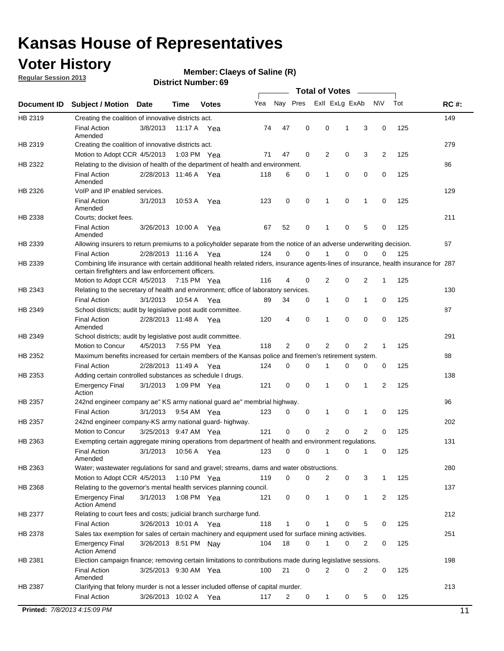## **Voter History**

**Member: Claeys of Saline (R)** 

**Regular Session 2013**

|             |                                                                                                                                                                                             |                       |             |               |     |             |             | <b>Total of Votes</b> |   |                |           |     |             |
|-------------|---------------------------------------------------------------------------------------------------------------------------------------------------------------------------------------------|-----------------------|-------------|---------------|-----|-------------|-------------|-----------------------|---|----------------|-----------|-----|-------------|
| Document ID | <b>Subject / Motion</b>                                                                                                                                                                     | <b>Date</b>           | Time        | <b>Votes</b>  | Yea | Nay Pres    |             | Exll ExLg ExAb        |   |                | <b>NV</b> | Tot | <b>RC#:</b> |
| HB 2319     | Creating the coalition of innovative districts act.                                                                                                                                         |                       |             |               |     |             |             |                       |   |                |           |     | 149         |
|             | <b>Final Action</b><br>Amended                                                                                                                                                              | 3/8/2013              | 11:17 A     | Yea           | 74  | 47          | 0           | 0                     | 1 | 3              | 0         | 125 |             |
| HB 2319     | Creating the coalition of innovative districts act.                                                                                                                                         |                       |             |               |     |             |             |                       |   |                |           |     | 279         |
|             | Motion to Adopt CCR 4/5/2013                                                                                                                                                                |                       |             | 1:03 PM Yea   | 71  | 47          | 0           | 2                     | 0 | 3              | 2         | 125 |             |
| HB 2322     | Relating to the division of health of the department of health and environment.                                                                                                             |                       |             |               |     |             |             |                       |   |                |           |     | 86          |
|             | <b>Final Action</b><br>Amended                                                                                                                                                              | 2/28/2013 11:46 A Yea |             |               | 118 | 6           | 0           | 1                     | 0 | 0              | 0         | 125 |             |
| HB 2326     | VoIP and IP enabled services.                                                                                                                                                               |                       |             |               |     |             |             |                       |   |                |           |     | 129         |
|             | <b>Final Action</b><br>Amended                                                                                                                                                              | 3/1/2013              | 10.53 A     | Yea           | 123 | $\mathbf 0$ | 0           | $\mathbf{1}$          | 0 | 1              | 0         | 125 |             |
| HB 2338     | Courts; docket fees.                                                                                                                                                                        |                       |             |               |     |             |             |                       |   |                |           |     | 211         |
|             | <b>Final Action</b><br>Amended                                                                                                                                                              | 3/26/2013 10:00 A     |             | Yea           | 67  | 52          | 0           | $\mathbf 1$           | 0 | 5              | 0         | 125 |             |
| HB 2339     | Allowing insurers to return premiums to a policyholder separate from the notice of an adverse underwriting decision.                                                                        |                       |             |               |     |             |             |                       |   |                |           |     | 67          |
|             | <b>Final Action</b>                                                                                                                                                                         | 2/28/2013 11:16 A Yea |             |               | 124 | 0           | 0           |                       | 0 | 0              | 0         | 125 |             |
| HB 2339     | Combining life insurance with certain additional health related riders, insurance agents-lines of insurance, health insurance for 287<br>certain firefighters and law enforcement officers. |                       |             |               |     |             |             |                       |   |                |           |     |             |
|             | Motion to Adopt CCR 4/5/2013 7:15 PM Yea                                                                                                                                                    |                       |             |               | 116 | 4           | 0           | 2                     | 0 | 2              | -1        | 125 |             |
| HB 2343     | Relating to the secretary of health and environment; office of laboratory services.                                                                                                         |                       |             |               |     |             |             |                       |   |                |           |     | 130         |
|             | <b>Final Action</b>                                                                                                                                                                         | 3/1/2013              | 10:54 A Yea |               | 89  | 34          | 0           | 1                     | 0 | $\mathbf{1}$   | 0         | 125 |             |
| HB 2349     | School districts; audit by legislative post audit committee.                                                                                                                                |                       |             |               |     |             |             |                       |   |                |           |     | 87          |
|             | <b>Final Action</b><br>Amended                                                                                                                                                              | 2/28/2013 11:48 A Yea |             |               | 120 | 4           | $\mathbf 0$ | $\mathbf{1}$          | 0 | $\mathbf 0$    | 0         | 125 |             |
| HB 2349     | School districts; audit by legislative post audit committee.                                                                                                                                |                       |             |               |     |             |             |                       |   |                |           |     | 291         |
|             | Motion to Concur                                                                                                                                                                            | 4/5/2013              |             | 7:55 PM Yea   | 118 | 2           | 0           | 2                     | 0 | 2              | 1         | 125 |             |
| HB 2352     | Maximum benefits increased for certain members of the Kansas police and firemen's retirement system.                                                                                        |                       |             |               |     |             |             |                       |   |                |           |     | 88          |
|             | <b>Final Action</b>                                                                                                                                                                         | 2/28/2013 11:49 A     |             | Yea           | 124 | 0           | 0           | 1                     | 0 | 0              | 0         | 125 |             |
| HB 2353     | Adding certain controlled substances as schedule I drugs.                                                                                                                                   |                       |             |               |     |             |             |                       |   |                |           |     | 138         |
|             | Emergency Final<br>Action                                                                                                                                                                   | 3/1/2013              |             | 1:09 PM Yea   | 121 | 0           | 0           | $\mathbf{1}$          | 0 | 1              | 2         | 125 |             |
| HB 2357     | 242nd engineer company ae" KS army national guard ae" membrial highway.                                                                                                                     |                       |             |               |     |             |             |                       |   |                |           |     | 96          |
|             | <b>Final Action</b>                                                                                                                                                                         | 3/1/2013              |             | 9:54 AM Yea   | 123 | 0           | 0           | 1                     | 0 | 1              | 0         | 125 |             |
| HB 2357     | 242nd engineer company-KS army national guard- highway.                                                                                                                                     |                       |             |               |     |             |             |                       |   |                |           |     | 202         |
|             | Motion to Concur                                                                                                                                                                            | 3/25/2013 9:47 AM Yea |             |               | 121 | $\mathbf 0$ | $\mathbf 0$ | 2                     | 0 | $\overline{2}$ | 0         | 125 |             |
| HB 2363     | Exempting certain aggregate mining operations from department of health and environment regulations.                                                                                        |                       |             |               |     |             |             |                       |   |                |           |     | 131         |
|             | <b>Final Action</b><br>Amended                                                                                                                                                              | 3/1/2013              | 10:56 A     | Yea           | 123 | 0           | 0           | 1                     | 0 | 1              | 0         | 125 |             |
| HB 2363     | Water; wastewater regulations for sand and gravel; streams, dams and water obstructions.                                                                                                    |                       |             |               |     |             |             |                       |   |                |           |     | 280         |
|             | Motion to Adopt CCR 4/5/2013                                                                                                                                                                |                       |             | 1:10 PM $Yea$ | 119 | 0           | 0           | 2                     | 0 | 3              | 1         | 125 |             |
| HB 2368     | Relating to the governor's mental health services planning council.<br>Emergency Final                                                                                                      | 3/1/2013              |             | 1:08 PM Yea   | 121 | 0           | 0           | 1                     | 0 | $\mathbf{1}$   | 2         | 125 | 137         |
| HB 2377     | Action Amend<br>Relating to court fees and costs; judicial branch surcharge fund.                                                                                                           |                       |             |               |     |             |             |                       |   |                |           |     | 212         |
|             | Final Action                                                                                                                                                                                | 3/26/2013 10:01 A Yea |             |               | 118 | 1           | 0           |                       | 0 | 5              | 0         | 125 |             |
| HB 2378     | Sales tax exemption for sales of certain machinery and equipment used for surface mining activities.                                                                                        |                       |             |               |     |             |             |                       |   |                |           |     | 251         |
|             | Emergency Final<br><b>Action Amend</b>                                                                                                                                                      | 3/26/2013 8:51 PM Nay |             |               | 104 | 18          | 0           | 1                     | 0 | 2              | 0         | 125 |             |
| HB 2381     | Election campaign finance; removing certain limitations to contributions made during legislative sessions.                                                                                  |                       |             |               |     |             |             |                       |   |                |           |     | 198         |
|             | <b>Final Action</b>                                                                                                                                                                         | 3/25/2013 9:30 AM Yea |             |               | 100 | 21          | 0           | 2                     | 0 | $\overline{2}$ | 0         | 125 |             |
|             | Amended                                                                                                                                                                                     |                       |             |               |     |             |             |                       |   |                |           |     |             |
| HB 2387     | Clarifying that felony murder is not a lesser included offense of capital murder.                                                                                                           |                       |             |               |     |             |             |                       |   |                |           |     | 213         |
|             | <b>Final Action</b>                                                                                                                                                                         | 3/26/2013 10:02 A     |             | Yea           | 117 | 2           | 0           | 1                     | 0 | 5              | 0         | 125 |             |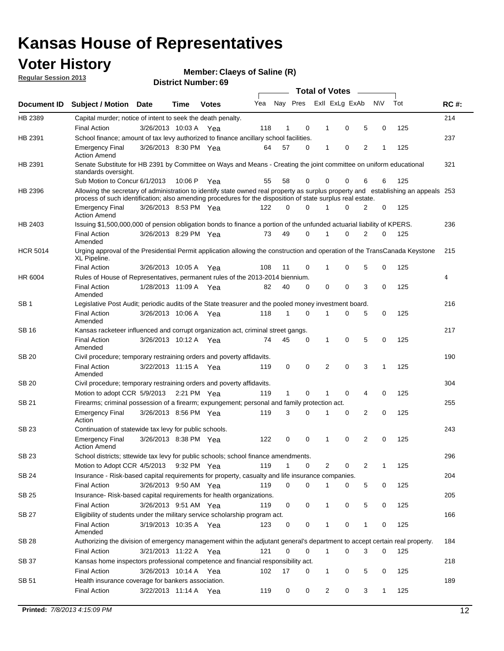## **Voter History**

**Member: Claeys of Saline (R)** 

**Regular Session 2013**

|                 |                                                                                                                                                                                                                                                  |                       |         | טט הסעוווטנו ועוווסו |     |              |             |              | <b>Total of Votes</b> | $\sim$         |           |     |             |
|-----------------|--------------------------------------------------------------------------------------------------------------------------------------------------------------------------------------------------------------------------------------------------|-----------------------|---------|----------------------|-----|--------------|-------------|--------------|-----------------------|----------------|-----------|-----|-------------|
| Document ID     | <b>Subject / Motion Date</b>                                                                                                                                                                                                                     |                       | Time    | <b>Votes</b>         | Yea | Nay Pres     |             |              | Exll ExLg ExAb        |                | <b>NV</b> | Tot | <b>RC#:</b> |
| HB 2389         | Capital murder; notice of intent to seek the death penalty.                                                                                                                                                                                      |                       |         |                      |     |              |             |              |                       |                |           |     | 214         |
|                 | <b>Final Action</b>                                                                                                                                                                                                                              | 3/26/2013 10:03 A Yea |         |                      | 118 | 1            | 0           | 1            | 0                     | 5              | 0         | 125 |             |
| HB 2391         | School finance; amount of tax levy authorized to finance ancillary school facilities.                                                                                                                                                            |                       |         |                      |     |              |             |              |                       |                |           |     | 237         |
|                 | <b>Emergency Final</b><br><b>Action Amend</b>                                                                                                                                                                                                    | 3/26/2013 8:30 PM Yea |         |                      | 64  | 57           | $\Omega$    | 1            | 0                     | $\overline{2}$ | 1         | 125 |             |
| HB 2391         | Senate Substitute for HB 2391 by Committee on Ways and Means - Creating the joint committee on uniform educational<br>standards oversight.                                                                                                       |                       |         |                      |     |              |             |              |                       |                |           |     | 321         |
|                 | Sub Motion to Concur 6/1/2013                                                                                                                                                                                                                    |                       | 10:06 P | Yea                  | 55  | 58           | 0           | 0            | 0                     | 6              | 6         | 125 |             |
| HB 2396         | Allowing the secretary of administration to identify state owned real property as surplus property and establishing an appeals 253<br>process of such identification; also amending procedures for the disposition of state surplus real estate. |                       |         |                      |     |              |             |              |                       |                |           |     |             |
|                 | <b>Emergency Final</b><br><b>Action Amend</b>                                                                                                                                                                                                    | 3/26/2013 8:53 PM Yea |         |                      | 122 | 0            | $\Omega$    |              | 0                     | 2              | 0         | 125 |             |
| HB 2403         | Issuing \$1,500,000,000 of pension obligation bonds to finance a portion of the unfunded actuarial liability of KPERS.                                                                                                                           |                       |         |                      |     |              |             |              |                       |                |           |     | 236         |
|                 | <b>Final Action</b><br>Amended                                                                                                                                                                                                                   | 3/26/2013 8:29 PM Yea |         |                      | 73  | 49           | 0           | 1            | 0                     | 2              | 0         | 125 |             |
| <b>HCR 5014</b> | Urging approval of the Presidential Permit application allowing the construction and operation of the TransCanada Keystone<br>XL Pipeline.                                                                                                       |                       |         |                      |     |              |             |              |                       |                |           |     | 215         |
|                 | <b>Final Action</b>                                                                                                                                                                                                                              | 3/26/2013 10:05 A     |         | Yea                  | 108 | 11           | 0           | 1            | 0                     | 5              | 0         | 125 |             |
| HR 6004         | Rules of House of Representatives, permanent rules of the 2013-2014 biennium.                                                                                                                                                                    |                       |         |                      |     |              |             |              |                       |                |           |     | 4           |
|                 | <b>Final Action</b><br>Amended                                                                                                                                                                                                                   | 1/28/2013 11:09 A Yea |         |                      | 82  | 40           | 0           | 0            | 0                     | 3              | 0         | 125 |             |
| SB <sub>1</sub> | Legislative Post Audit; periodic audits of the State treasurer and the pooled money investment board.                                                                                                                                            |                       |         |                      |     |              |             |              |                       |                |           |     | 216         |
|                 | <b>Final Action</b><br>Amended                                                                                                                                                                                                                   | 3/26/2013 10:06 A     |         | Yea                  | 118 | 1            | $\Omega$    | 1            | 0                     | 5              | 0         | 125 |             |
| SB 16           | Kansas racketeer influenced and corrupt organization act, criminal street gangs.                                                                                                                                                                 |                       |         |                      |     |              |             |              |                       |                |           |     | 217         |
|                 | <b>Final Action</b><br>Amended                                                                                                                                                                                                                   | 3/26/2013 10:12 A Yea |         |                      | 74  | 45           | 0           | 1            | 0                     | 5              | 0         | 125 |             |
| <b>SB 20</b>    | Civil procedure; temporary restraining orders and poverty affidavits.                                                                                                                                                                            |                       |         |                      |     |              |             |              |                       |                |           |     | 190         |
|                 | <b>Final Action</b><br>Amended                                                                                                                                                                                                                   | 3/22/2013 11:15 A     |         | Yea                  | 119 | 0            | 0           | 2            | 0                     | 3              | 1         | 125 |             |
| SB 20           | Civil procedure; temporary restraining orders and poverty affidavits.                                                                                                                                                                            |                       |         |                      |     |              |             |              |                       |                |           |     | 304         |
|                 | Motion to adopt CCR 5/9/2013                                                                                                                                                                                                                     |                       |         | 2:21 PM Yea          | 119 | $\mathbf{1}$ | 0           | 1            | 0                     | 4              | 0         | 125 |             |
| <b>SB 21</b>    | Firearms; criminal possession of a firearm; expungement; personal and family protection act.                                                                                                                                                     |                       |         |                      |     |              |             |              |                       |                |           |     | 255         |
|                 | <b>Emergency Final</b><br>Action                                                                                                                                                                                                                 | 3/26/2013 8:56 PM Yea |         |                      | 119 | 3            | $\Omega$    | 1            | 0                     | 2              | 0         | 125 |             |
| <b>SB 23</b>    | Continuation of statewide tax levy for public schools.                                                                                                                                                                                           |                       |         |                      |     |              |             |              |                       |                |           |     | 243         |
|                 | <b>Emergency Final</b><br><b>Action Amend</b>                                                                                                                                                                                                    | 3/26/2013 8:38 PM Yea |         |                      | 122 | 0            | 0           | 1            | 0                     | 2              | 0         | 125 |             |
| SB 23           | School districts; sttewide tax levy for public schools; school finance amendments.                                                                                                                                                               |                       |         |                      |     |              |             |              |                       |                |           |     | 296         |
|                 | Motion to Adopt CCR 4/5/2013                                                                                                                                                                                                                     |                       |         | 9:32 PM Yea          | 119 | 1            | 0           |              | 2<br>0                | 2              | 1         | 125 |             |
| <b>SB 24</b>    | Insurance - Risk-based capital requirements for property, casualty and life insurance companies.                                                                                                                                                 |                       |         |                      |     |              |             |              |                       |                |           |     | 204         |
|                 | Final Action                                                                                                                                                                                                                                     | 3/26/2013 9:50 AM Yea |         |                      | 119 | 0            | 0           | 1            | 0                     | 5              | 0         | 125 |             |
| <b>SB 25</b>    | Insurance-Risk-based capital requirements for health organizations.                                                                                                                                                                              |                       |         |                      |     |              |             |              |                       |                |           |     | 205         |
|                 | Final Action                                                                                                                                                                                                                                     | 3/26/2013 9:51 AM Yea |         |                      | 119 | 0            | 0           | 1            | 0                     | 5              | 0         | 125 |             |
| <b>SB 27</b>    | Eligibility of students under the military service scholarship program act.                                                                                                                                                                      |                       |         |                      |     |              |             |              |                       |                |           |     | 166         |
|                 | <b>Final Action</b><br>Amended                                                                                                                                                                                                                   | 3/19/2013 10:35 A Yea |         |                      | 123 | 0            | 0           |              | 0                     | 1              | 0         | 125 |             |
| SB 28           | Authorizing the division of emergency management within the adjutant general's department to accept certain real property.                                                                                                                       |                       |         |                      |     |              |             |              |                       |                |           |     | 184         |
|                 | <b>Final Action</b>                                                                                                                                                                                                                              | 3/21/2013 11:22 A Yea |         |                      | 121 | 0            | $\mathbf 0$ | $\mathbf{1}$ | 0                     | 3              | 0         | 125 |             |
| SB 37           | Kansas home inspectors professional competence and financial responsibility act.                                                                                                                                                                 |                       |         |                      |     |              |             |              |                       |                |           |     | 218         |
|                 | <b>Final Action</b>                                                                                                                                                                                                                              | 3/26/2013 10:14 A Yea |         |                      | 102 | 17           | 0           | 1            | 0                     | 5              | 0         | 125 |             |
| SB 51           | Health insurance coverage for bankers association.                                                                                                                                                                                               |                       |         |                      |     |              |             |              |                       |                |           |     | 189         |
|                 | Final Action                                                                                                                                                                                                                                     | 3/22/2013 11:14 A Yea |         |                      | 119 | 0            | 0           |              | 2<br>0                | 3              | 1         | 125 |             |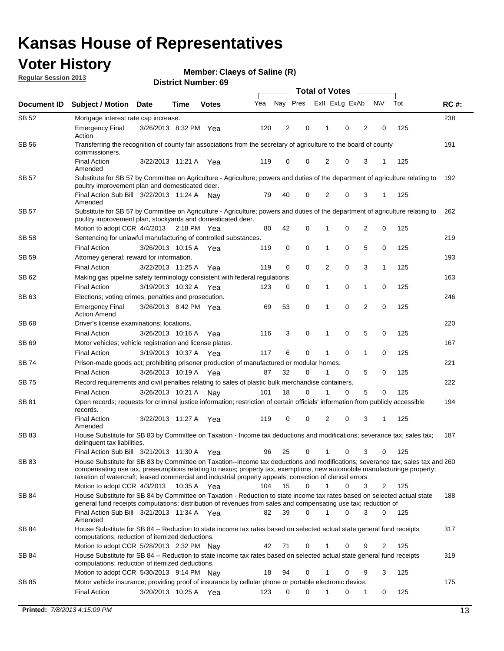## **Voter History**

**Member: Claeys of Saline (R)** 

**Regular Session 2013**

|              |                                                                                                                                                                                                                                            |                       |             |              |     | <b>Total of Votes</b> |             |                |   |                |             |     |             |
|--------------|--------------------------------------------------------------------------------------------------------------------------------------------------------------------------------------------------------------------------------------------|-----------------------|-------------|--------------|-----|-----------------------|-------------|----------------|---|----------------|-------------|-----|-------------|
| Document ID  | <b>Subject / Motion Date</b>                                                                                                                                                                                                               |                       | Time        | <b>Votes</b> | Yea | Nay Pres              |             | Exll ExLg ExAb |   |                | <b>NV</b>   | Tot | <b>RC#:</b> |
| SB 52        | Mortgage interest rate cap increase.                                                                                                                                                                                                       |                       |             |              |     |                       |             |                |   |                |             |     | 238         |
|              | <b>Emergency Final</b><br>Action                                                                                                                                                                                                           | 3/26/2013 8:32 PM Yea |             |              | 120 | 2                     | 0           |                | 0 | 2              | 0           | 125 |             |
| SB 56        | Transferring the recognition of county fair associations from the secretary of agriculture to the board of county<br>commissioners.                                                                                                        |                       |             |              |     |                       |             |                |   |                |             |     | 191         |
|              | <b>Final Action</b><br>Amended                                                                                                                                                                                                             | 3/22/2013 11:21 A     |             | Yea          | 119 | 0                     | 0           | 2              | 0 | 3              | 1           | 125 |             |
| SB 57        | Substitute for SB 57 by Committee on Agriculture - Agriculture; powers and duties of the department of agriculture relating to<br>poultry improvement plan and domesticated deer.                                                          |                       |             |              |     |                       |             |                |   |                |             |     | 192         |
|              | Final Action Sub Bill 3/22/2013 11:24 A<br>Amended                                                                                                                                                                                         |                       |             | Nav          | 79  | 40                    | 0           | 2              | 0 | 3              | 1           | 125 |             |
| SB 57        | Substitute for SB 57 by Committee on Agriculture - Agriculture; powers and duties of the department of agriculture relating to<br>poultry improvement plan, stockyards and domesticated deer.                                              |                       |             |              |     |                       |             |                |   |                |             |     | 262         |
|              | Motion to adopt CCR 4/4/2013 2:18 PM Yea                                                                                                                                                                                                   |                       |             |              | 80  | 42                    | 0           | 1              | 0 | 2              | 0           | 125 |             |
| SB 58        | Sentencing for unlawful manufacturing of controlled substances.                                                                                                                                                                            |                       |             |              |     |                       |             |                |   |                |             |     | 219         |
|              | <b>Final Action</b>                                                                                                                                                                                                                        | 3/26/2013 10:15 A     |             | Yea          | 119 | 0                     | 0           | 1              | 0 | 5              | 0           | 125 |             |
| <b>SB 59</b> | Attorney general; reward for information.                                                                                                                                                                                                  |                       |             |              |     |                       |             |                |   |                |             |     | 193         |
|              | <b>Final Action</b>                                                                                                                                                                                                                        | 3/22/2013 11:25 A     |             | Yea          | 119 | 0                     | 0           | 2              | 0 | 3              | 1           | 125 |             |
| SB 62        | Making gas pipeline safety terminology consistent with federal regulations.                                                                                                                                                                |                       |             |              |     |                       |             |                |   |                |             |     | 163         |
|              | <b>Final Action</b>                                                                                                                                                                                                                        | 3/19/2013 10:32 A     |             | Yea          | 123 | 0                     | 0           | 1              | 0 | 1              | 0           | 125 |             |
| SB 63        | Elections; voting crimes, penalties and prosecution.                                                                                                                                                                                       |                       |             |              |     |                       |             |                |   |                |             |     | 246         |
|              | <b>Emergency Final</b><br><b>Action Amend</b>                                                                                                                                                                                              | 3/26/2013 8:42 PM Yea |             |              | 69  | 53                    | $\mathbf 0$ | 1              | 0 | $\overline{2}$ | $\mathbf 0$ | 125 |             |
| SB 68        | Driver's license examinations; locations.                                                                                                                                                                                                  |                       |             |              |     |                       |             |                |   |                |             |     | 220         |
|              | <b>Final Action</b>                                                                                                                                                                                                                        | 3/26/2013 10:16 A     |             | Yea          | 116 | 3                     | 0           | 1              | 0 | 5              | 0           | 125 |             |
| SB 69        | Motor vehicles; vehicle registration and license plates.                                                                                                                                                                                   |                       |             |              |     |                       |             |                |   |                |             |     | 167         |
|              | <b>Final Action</b>                                                                                                                                                                                                                        | 3/19/2013 10:37 A     |             | Yea          | 117 | 6                     | 0           | 1              | 0 | $\mathbf{1}$   | 0           | 125 |             |
| SB 74        | Prison-made goods act; prohibiting prisoner production of manufactured or modular homes.                                                                                                                                                   |                       |             |              |     |                       |             |                |   |                |             |     | 221         |
|              | <b>Final Action</b>                                                                                                                                                                                                                        | 3/26/2013 10:19 A     |             | Yea          | 87  | 32                    | 0           | 1              | 0 | 5              | 0           | 125 |             |
| SB 75        | Record requirements and civil penalties relating to sales of plastic bulk merchandise containers.                                                                                                                                          |                       |             |              |     |                       |             |                |   |                |             |     | 222         |
|              | <b>Final Action</b>                                                                                                                                                                                                                        | 3/26/2013 10:21 A     |             | Nay          | 101 | 18                    | 0           | 1              | 0 | 5              | 0           | 125 |             |
| SB 81        | Open records; requests for criminal justice information; restriction of certain officials' information from publicly accessible<br>records.<br><b>Final Action</b>                                                                         |                       |             |              |     |                       |             |                |   |                |             |     | 194         |
|              | Amended                                                                                                                                                                                                                                    | 3/22/2013 11:27 A     |             | Yea          | 119 | 0                     | 0           | 2              | 0 | 3              | 1           | 125 |             |
| <b>SB 83</b> | House Substitute for SB 83 by Committee on Taxation - Income tax deductions and modifications; severance tax; sales tax;<br>delinquent tax liabilities.<br>Final Action Sub Bill 3/21/2013 11:30 A Yea                                     |                       |             |              | 96  | 25                    | 0           | 1              | 0 | 3              | 0           | 125 | 187         |
| SB 83        | House Substitute for SB 83 by Committee on Taxation--Income tax deductions and modifications; severance tax; sales tax and 260                                                                                                             |                       |             |              |     |                       |             |                |   |                |             |     |             |
|              | compensating use tax, preseumptions relating to nexus; property tax, exemptions, new automobile manufacturinge property;<br>taxation of watercraft; leased commercial and industrial property appeals; correction of clerical errors.      |                       |             |              |     |                       |             |                |   |                |             |     |             |
|              | Motion to adopt CCR 4/3/2013                                                                                                                                                                                                               |                       | 10:35 A Yea |              | 104 | 15                    | 0           | $\mathbf{1}$   | 0 | 3              | 2           | 125 |             |
| SB 84        | House Substitute for SB 84 by Committee on Taxation - Reduction to state income tax rates based on selected actual state<br>general fund receipts computations; distribution of revenues from sales and compensating use tax; reduction of |                       |             |              |     |                       |             |                |   |                |             |     | 188         |
|              | Final Action Sub Bill 3/21/2013 11:34 A Yea<br>Amended                                                                                                                                                                                     |                       |             |              | 82  | 39                    | $\Omega$    |                | 0 | 3              | $\Omega$    | 125 |             |
| SB 84        | House Substitute for SB 84 -- Reduction to state income tax rates based on selected actual state general fund receipts<br>computations; reduction of itemized deductions.<br>Motion to adopt CCR 5/28/2013 2:32 PM Nav                     |                       |             |              | 42  | 71                    | 0           |                | 0 | 9              | 2           | 125 | 317         |
| SB 84        | House Substitute for SB 84 -- Reduction to state income tax rates based on selected actual state general fund receipts                                                                                                                     |                       |             |              |     |                       |             |                |   |                |             |     | 319         |
|              | computations; reduction of itemized deductions.<br>Motion to adopt CCR 5/30/2013 9:14 PM Nay                                                                                                                                               |                       |             |              | 18  | 94                    | 0           |                | 0 | 9              | 3           | 125 |             |
| SB 85        | Motor vehicle insurance; providing proof of insurance by cellular phone or portable electronic device.                                                                                                                                     |                       |             |              |     |                       |             |                |   |                |             |     | 175         |
|              | <b>Final Action</b>                                                                                                                                                                                                                        | 3/20/2013 10:25 A Yea |             |              | 123 | 0                     | $\Omega$    |                | 0 | 1              | 0           | 125 |             |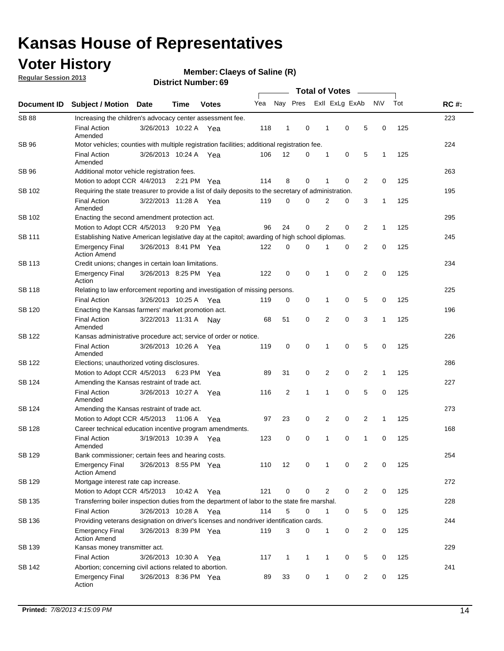## **Voter History**

**Member: Claeys of Saline (R)** 

**Regular Session 2013**

| Document ID   |                                                                                                       |                                                                                                         |         |              |     |                |              |                |             |   |              |     |             |  |  |  |  |  |  |  |
|---------------|-------------------------------------------------------------------------------------------------------|---------------------------------------------------------------------------------------------------------|---------|--------------|-----|----------------|--------------|----------------|-------------|---|--------------|-----|-------------|--|--|--|--|--|--|--|
|               | <b>Subject / Motion</b>                                                                               | <b>Date</b>                                                                                             | Time    | <b>Votes</b> | Yea | Nay Pres       |              | Exll ExLg ExAb |             |   | <b>NV</b>    | Tot | <b>RC#:</b> |  |  |  |  |  |  |  |
| <b>SB 88</b>  | Increasing the children's advocacy center assessment fee.                                             |                                                                                                         |         |              |     |                |              |                |             |   |              |     | 223         |  |  |  |  |  |  |  |
|               | <b>Final Action</b><br>Amended                                                                        | 3/26/2013 10:22 A                                                                                       |         | Yea          | 118 | 1              | 0            | 1              | 0           | 5 | 0            | 125 |             |  |  |  |  |  |  |  |
| SB 96         | Motor vehicles; counties with multiple registration facilities; additional registration fee.          |                                                                                                         |         |              |     |                |              |                |             |   |              |     | 224         |  |  |  |  |  |  |  |
|               | <b>Final Action</b><br>Amended                                                                        | 3/26/2013 10:24 A Yea                                                                                   |         |              | 106 | 12             | 0            | 1              | 0           | 5 | 1            | 125 |             |  |  |  |  |  |  |  |
| SB 96         | Additional motor vehicle registration fees.                                                           |                                                                                                         |         |              |     |                |              |                |             |   |              |     | 263         |  |  |  |  |  |  |  |
|               | Motion to adopt CCR 4/4/2013 2:21 PM                                                                  |                                                                                                         |         | Yea          | 114 | 8              | 0            | 1              | 0           | 2 | 0            | 125 |             |  |  |  |  |  |  |  |
| SB 102        | Requiring the state treasurer to provide a list of daily deposits to the secretary of administration. |                                                                                                         |         |              |     |                |              |                |             |   |              |     | 195         |  |  |  |  |  |  |  |
|               | <b>Final Action</b><br>Amended                                                                        | 3/22/2013 11:28 A Yea                                                                                   |         |              | 119 | 0              | 0            | 2              | 0           | 3 | 1            | 125 |             |  |  |  |  |  |  |  |
| SB 102        | Enacting the second amendment protection act.                                                         |                                                                                                         |         |              |     |                |              |                |             |   |              |     | 295         |  |  |  |  |  |  |  |
|               | Motion to Adopt CCR 4/5/2013                                                                          |                                                                                                         |         | 9:20 PM Yea  | 96  | 24             | 0            | 2              | 0           | 2 | 1<br>125     |     |             |  |  |  |  |  |  |  |
| SB 111        | Establishing Native American legislative day at the capitol; awarding of high school diplomas.        |                                                                                                         |         |              |     |                |              |                |             |   |              |     |             |  |  |  |  |  |  |  |
|               | <b>Emergency Final</b><br><b>Action Amend</b>                                                         | 3/26/2013 8:41 PM Yea                                                                                   |         |              | 122 | 0              | 0            | 1              | 0           | 2 | 0            | 125 |             |  |  |  |  |  |  |  |
| <b>SB 113</b> | Credit unions; changes in certain loan limitations.                                                   |                                                                                                         |         |              |     |                |              |                |             |   |              |     | 234         |  |  |  |  |  |  |  |
|               | <b>Emergency Final</b><br>Action                                                                      | 3/26/2013 8:25 PM Yea                                                                                   |         |              | 122 | 0              | 0            | 1              | 0           | 2 | 0            | 125 |             |  |  |  |  |  |  |  |
| SB 118        | Relating to law enforcement reporting and investigation of missing persons.                           |                                                                                                         |         |              |     |                |              |                |             |   |              |     | 225         |  |  |  |  |  |  |  |
|               | <b>Final Action</b>                                                                                   | 3/26/2013 10:25 A Yea                                                                                   |         |              | 119 | 0              | 0            | 1              | 0           | 5 | 0            | 125 |             |  |  |  |  |  |  |  |
| SB 120        | Enacting the Kansas farmers' market promotion act.                                                    |                                                                                                         |         |              |     |                |              |                |             |   |              |     | 196         |  |  |  |  |  |  |  |
|               | <b>Final Action</b><br>Amended                                                                        | 3/22/2013 11:31 A Nay                                                                                   |         |              | 68  | 51             | 0            | 2              | 0           | 3 | 1            | 125 |             |  |  |  |  |  |  |  |
| SB 122        | Kansas administrative procedure act; service of order or notice.                                      |                                                                                                         |         |              |     |                |              |                |             |   |              |     | 226         |  |  |  |  |  |  |  |
|               | <b>Final Action</b><br>Amended                                                                        | 3/26/2013 10:26 A                                                                                       |         | Yea          | 119 | 0              | 0            | 1              | $\mathbf 0$ | 5 | 0            | 125 |             |  |  |  |  |  |  |  |
| SB 122        | Elections; unauthorized voting disclosures.                                                           |                                                                                                         |         |              |     |                |              |                |             |   |              |     |             |  |  |  |  |  |  |  |
|               | 2<br>0<br>2<br>125<br>Motion to Adopt CCR 4/5/2013 6:23 PM<br>89<br>31<br>0<br>1<br>Yea               |                                                                                                         |         |              |     |                |              |                |             |   |              |     |             |  |  |  |  |  |  |  |
| SB 124        | Amending the Kansas restraint of trade act.                                                           |                                                                                                         |         |              |     |                |              |                |             |   |              |     | 227         |  |  |  |  |  |  |  |
|               | <b>Final Action</b><br>Amended                                                                        | 3/26/2013 10:27 A                                                                                       |         | Yea          | 116 | $\overline{2}$ | 1            | 1              | $\mathbf 0$ | 5 | 0            | 125 |             |  |  |  |  |  |  |  |
| SB 124        |                                                                                                       | 273<br>Amending the Kansas restraint of trade act.                                                      |         |              |     |                |              |                |             |   |              |     |             |  |  |  |  |  |  |  |
|               | Motion to Adopt CCR 4/5/2013                                                                          |                                                                                                         | 11:06 A | Yea          | 97  | 23             | 0            | 2              | 0           | 2 | $\mathbf{1}$ | 125 |             |  |  |  |  |  |  |  |
| <b>SB 128</b> | Career technical education incentive program amendments.                                              |                                                                                                         |         |              |     |                |              |                |             |   |              |     | 168         |  |  |  |  |  |  |  |
|               | <b>Final Action</b><br>Amended                                                                        | 3/19/2013 10:39 A                                                                                       |         | Yea          | 123 | 0              | 0            | 1              | 0           | 1 | 0            | 125 |             |  |  |  |  |  |  |  |
| <b>SB 129</b> | Bank commissioner: certain fees and hearing costs.                                                    |                                                                                                         |         |              |     |                |              |                |             |   |              |     | 254         |  |  |  |  |  |  |  |
|               | <b>Emergency Final</b><br><b>Action Amend</b>                                                         | 3/26/2013 8:55 PM Yea                                                                                   |         |              | 110 | 12             | 0            | 1              | 0           | 2 | 0            | 125 |             |  |  |  |  |  |  |  |
| <b>SB 129</b> | Mortgage interest rate cap increase.                                                                  |                                                                                                         |         |              |     |                |              |                |             |   |              |     | 272         |  |  |  |  |  |  |  |
|               |                                                                                                       | 121<br>0<br>2<br>0<br>$\overline{2}$<br>0<br>125<br>Motion to Adopt CCR 4/5/2013<br>10:42 A<br>0<br>Yea |         |              |     |                |              |                |             |   |              |     |             |  |  |  |  |  |  |  |
| SB 135        | Transferring boiler inspection duties from the department of labor to the state fire marshal.         |                                                                                                         |         |              |     |                |              |                |             |   |              |     | 228         |  |  |  |  |  |  |  |
|               | <b>Final Action</b>                                                                                   | 3/26/2013 10:28 A Yea                                                                                   |         |              | 114 | 5              | 0            | 1              | 0           | 5 | 0            | 125 |             |  |  |  |  |  |  |  |
| SB 136        | Providing veterans designation on driver's licenses and nondriver identification cards.               |                                                                                                         |         |              |     |                |              |                |             |   |              |     | 244         |  |  |  |  |  |  |  |
|               | <b>Emergency Final</b><br><b>Action Amend</b>                                                         | 3/26/2013 8:39 PM Yea                                                                                   |         |              | 119 | 3              | 0            | 1              | 0           | 2 | 0            | 125 |             |  |  |  |  |  |  |  |
| SB 139        | Kansas money transmitter act.                                                                         |                                                                                                         |         |              |     |                |              |                |             |   |              |     | 229         |  |  |  |  |  |  |  |
|               | <b>Final Action</b>                                                                                   | 3/26/2013 10:30 A                                                                                       |         | Yea          | 117 | 1              | $\mathbf{1}$ | 1              | 0           | 5 | 0            | 125 |             |  |  |  |  |  |  |  |
| SB 142        | Abortion; concerning civil actions related to abortion.                                               |                                                                                                         |         |              |     |                |              |                |             |   |              |     | 241         |  |  |  |  |  |  |  |
|               | <b>Emergency Final</b><br>Action                                                                      | 3/26/2013 8:36 PM Yea                                                                                   |         |              | 89  | 33             | 0            | 1              | 0           | 2 | 0            | 125 |             |  |  |  |  |  |  |  |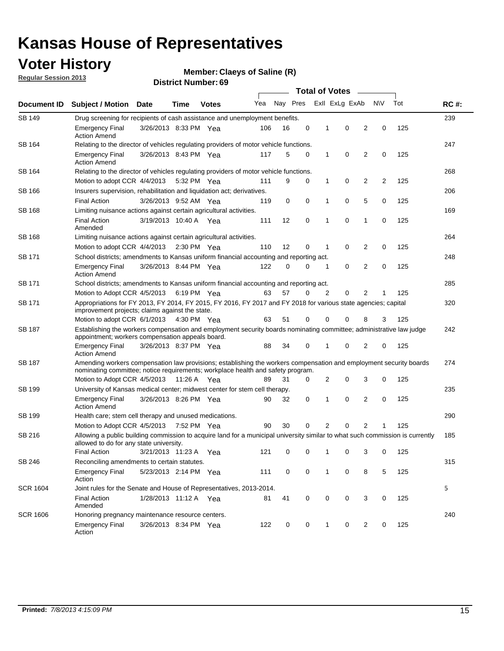## **Voter History**

**Member: Claeys of Saline (R)** 

**Regular Session 2013**

|                 |                                                                                                                                                                                                       |                                                                                                                                                                         |                       |              |     |          |             | <b>Total of Votes</b> |                |                         |                         |     |             |
|-----------------|-------------------------------------------------------------------------------------------------------------------------------------------------------------------------------------------------------|-------------------------------------------------------------------------------------------------------------------------------------------------------------------------|-----------------------|--------------|-----|----------|-------------|-----------------------|----------------|-------------------------|-------------------------|-----|-------------|
| Document ID     | <b>Subject / Motion</b>                                                                                                                                                                               | <b>Date</b>                                                                                                                                                             | Time                  | <b>Votes</b> | Yea | Nay Pres |             |                       | Exll ExLg ExAb |                         | <b>NV</b>               | Tot | <b>RC#:</b> |
| SB 149          | 239<br>Drug screening for recipients of cash assistance and unemployment benefits.                                                                                                                    |                                                                                                                                                                         |                       |              |     |          |             |                       |                |                         |                         |     |             |
|                 | <b>Emergency Final</b><br><b>Action Amend</b>                                                                                                                                                         | 3/26/2013 8:33 PM Yea                                                                                                                                                   |                       |              | 106 | 16       | 0           | 1                     | 0              | 2                       | 0                       | 125 |             |
| SB 164          | Relating to the director of vehicles regulating providers of motor vehicle functions.                                                                                                                 |                                                                                                                                                                         |                       |              |     |          |             |                       |                |                         |                         |     | 247         |
|                 | <b>Emergency Final</b><br><b>Action Amend</b>                                                                                                                                                         | 3/26/2013 8:43 PM Yea                                                                                                                                                   |                       |              | 117 | 5        | 0           | 1                     | 0              | 2                       | 0                       | 125 |             |
| SB 164          | Relating to the director of vehicles regulating providers of motor vehicle functions.                                                                                                                 |                                                                                                                                                                         |                       |              |     |          |             |                       |                |                         |                         |     | 268         |
|                 | Motion to adopt CCR 4/4/2013 5:32 PM Yea                                                                                                                                                              |                                                                                                                                                                         |                       |              | 111 | 9        | 0           | 1                     | 0              | $\overline{\mathbf{c}}$ | $\overline{\mathbf{c}}$ | 125 |             |
| SB 166          | Insurers supervision, rehabilitation and liquidation act; derivatives.                                                                                                                                |                                                                                                                                                                         |                       |              |     |          |             |                       |                |                         |                         |     | 206         |
|                 | <b>Final Action</b>                                                                                                                                                                                   | 3/26/2013 9:52 AM Yea                                                                                                                                                   |                       |              | 119 | 0        | $\mathbf 0$ | 1                     | 0              | 5                       | 0                       | 125 |             |
| SB 168          | Limiting nuisance actions against certain agricultural activities.                                                                                                                                    |                                                                                                                                                                         |                       |              |     |          |             |                       |                |                         |                         |     | 169         |
|                 | Final Action<br>Amended                                                                                                                                                                               | 3/19/2013 10:40 A Yea                                                                                                                                                   |                       |              | 111 | 12       | 0           | 1                     | 0              | 1                       | 0                       | 125 |             |
| SB 168          | Limiting nuisance actions against certain agricultural activities.                                                                                                                                    |                                                                                                                                                                         |                       |              |     |          |             |                       |                |                         |                         |     | 264         |
|                 | Motion to adopt CCR 4/4/2013                                                                                                                                                                          |                                                                                                                                                                         | $2:30 \text{ PM}$ Yea |              | 110 | 12       | 0           | 1                     | 0              | 2                       | 0                       | 125 |             |
| SB 171          | School districts; amendments to Kansas uniform financial accounting and reporting act.                                                                                                                |                                                                                                                                                                         |                       |              |     |          |             |                       |                |                         |                         |     | 248         |
|                 | <b>Emergency Final</b><br><b>Action Amend</b>                                                                                                                                                         | 3/26/2013 8:44 PM Yea                                                                                                                                                   |                       |              | 122 | 0        | 0           | 1                     | 0              | $\overline{2}$          | 0                       | 125 |             |
| SB 171          | School districts; amendments to Kansas uniform financial accounting and reporting act.                                                                                                                |                                                                                                                                                                         |                       |              |     |          |             |                       |                |                         |                         |     | 285         |
|                 | Motion to Adopt CCR 4/5/2013 6:19 PM Yea                                                                                                                                                              |                                                                                                                                                                         |                       |              | 63  | 57       | 0           | 2                     | 0              | 2                       |                         | 125 |             |
| SB 171          | Appropriations for FY 2013, FY 2014, FY 2015, FY 2016, FY 2017 and FY 2018 for various state agencies; capital<br>improvement projects; claims against the state.                                     |                                                                                                                                                                         |                       |              |     |          |             |                       |                |                         |                         |     | 320         |
|                 | Motion to adopt CCR 6/1/2013 4:30 PM Yea                                                                                                                                                              |                                                                                                                                                                         |                       |              | 63  | 51       | 0           | 0                     | 0              | 8                       | 3                       | 125 |             |
| SB 187          |                                                                                                                                                                                                       | Establishing the workers compensation and employment security boards nominating committee; administrative law judge<br>appointment; workers compensation appeals board. |                       |              |     |          |             |                       |                |                         |                         |     | 242         |
|                 | <b>Emergency Final</b><br><b>Action Amend</b>                                                                                                                                                         | 3/26/2013 8:37 PM Yea                                                                                                                                                   |                       |              | 88  | 34       | 0           | 1                     | 0              | 2                       | 0                       | 125 |             |
| SB 187          | Amending workers compensation law provisions; establishing the workers compensation and employment security boards<br>nominating committee; notice requirements; workplace health and safety program. |                                                                                                                                                                         |                       |              |     |          |             |                       |                |                         |                         |     | 274         |
|                 | Motion to Adopt CCR 4/5/2013 11:26 A Yea                                                                                                                                                              |                                                                                                                                                                         |                       |              | 89  | 31       | 0           | 2                     | 0              | 3                       | 0                       | 125 |             |
| SB 199          | University of Kansas medical center; midwest center for stem cell therapy.                                                                                                                            |                                                                                                                                                                         |                       |              |     |          |             |                       |                |                         |                         |     | 235         |
|                 | <b>Emergency Final</b><br><b>Action Amend</b>                                                                                                                                                         | 3/26/2013 8:26 PM Yea                                                                                                                                                   |                       |              | 90  | 32       | 0           | 1                     | 0              | 2                       | 0                       | 125 |             |
| SB 199          | Health care; stem cell therapy and unused medications.                                                                                                                                                |                                                                                                                                                                         |                       |              |     |          |             |                       |                |                         |                         |     | 290         |
|                 | Motion to Adopt CCR 4/5/2013                                                                                                                                                                          |                                                                                                                                                                         | 7:52 PM Yea           |              | 90  | 30       | 0           | 2                     | 0              | $\overline{2}$          |                         | 125 |             |
| SB 216          | Allowing a public building commission to acquire land for a municipal university similar to what such commission is currently<br>allowed to do for any state university.                              |                                                                                                                                                                         |                       |              |     |          |             |                       |                |                         |                         |     | 185         |
|                 | <b>Final Action</b>                                                                                                                                                                                   | 3/21/2013 11:23 A                                                                                                                                                       |                       | Yea          | 121 | 0        | 0           | 1                     | 0              | 3                       | 0                       | 125 |             |
| SB 246          | Reconciling amendments to certain statutes.                                                                                                                                                           |                                                                                                                                                                         |                       |              |     |          |             |                       |                |                         |                         |     | 315         |
|                 | <b>Emergency Final</b><br>Action                                                                                                                                                                      | 5/23/2013 2:14 PM Yea                                                                                                                                                   |                       |              | 111 | 0        | 0           | 1                     | 0              | 8                       | 5                       | 125 |             |
| <b>SCR 1604</b> | Joint rules for the Senate and House of Representatives, 2013-2014.                                                                                                                                   |                                                                                                                                                                         |                       |              |     |          |             |                       |                |                         |                         |     | 5           |
|                 | <b>Final Action</b><br>Amended                                                                                                                                                                        | 1/28/2013 11:12 A Yea                                                                                                                                                   |                       |              | 81  | 41       | 0           | 0                     | 0              | 3                       | 0                       | 125 |             |
| <b>SCR 1606</b> | Honoring pregnancy maintenance resource centers.                                                                                                                                                      |                                                                                                                                                                         |                       |              |     |          |             |                       |                |                         |                         |     | 240         |
|                 | Emergency Final<br>Action                                                                                                                                                                             | 3/26/2013 8:34 PM Yea                                                                                                                                                   |                       |              | 122 | 0        | 0           | 1                     | 0              | 2                       | 0                       | 125 |             |